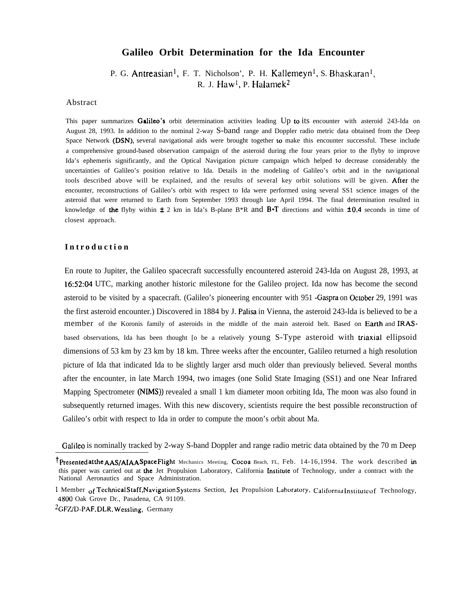# **Galileo Orbit Determination for the Ida Encounter**

P. G. Antreasian<sup>1</sup>, F. T. Nicholson', P. H. Kallemeyn<sup>1</sup>, S. Bhaskaran<sup>1</sup>, R. J. Haw<sup>l</sup>, P. Halamek<sup>2</sup>

## Abstract

This paper summarizes Galileo's orbit determination activities leading Up to its encounter with asteroid 243-Ida on August 28, 1993. In addition to the nominal 2-way S-band range and Doppler radio metric data obtained from the Deep Space Network (DSN), several navigational aids were brought together to make this encounter successful. These include a comprehensive ground-based observation campaign of the asteroid during rhe four years prior to the flyby to improve Ida's ephemeris significantly, and the Optical Navigation picture campaign which helped to decrease considerably the uncertainties of Galileo's position relative to Ida. Details in the modeling of Galileo's orbit and in the navigational tools described above will be explained, and the results of several key orbit solutions will be given. After the encounter, reconstructions of Galileo's orbit with respect to Ida were performed using several SS1 science images of the asteroid that were returned to Earth from September 1993 through late April 1994. The final determination resulted in knowledge of the flyby within  $\pm 2$  km in Ida's B-plane B\*R and B $\cdot$ T directions and within  $\pm 0.4$  seconds in time of closest approach.

# **Introductio n**

En route to Jupiter, the Galileo spacecraft successfully encountered asteroid 243-Ida on August 28, 1993, at 16:52:04 UTC, marking another historic milestone for the Galileo project. Ida now has become the second asteroid to be visited by a spacecraft. (Galileo's pioneering encounter with 951 -Gaspra on Oetober 29, 1991 was the first asteroid encounter.) Discovered in 1884 by J. Palisa in Vienna, the asteroid 243-lda is believed to be a member of the Koronis family of asteroids in the middle of the main asteroid belt. Based on Earth and IRASbased observations, Ida has been thought [o be a relatively young S-Type asteroid with triaxial ellipsoid dimensions of 53 km by 23 km by 18 km. Three weeks after the encounter, Galileo returned a high resolution picture of Ida that indicated Ida to be slightly larger arsd much older than previously believed. Several months after the encounter, in late March 1994, two images (one Solid State Imaging (SS1) and one Near Infrared Mapping Spectrometer (NIMS)) revealed a small 1 km diameter moon orbiting Ida, The moon was also found in subsequently returned images. With this new discovery, scientists require the best possible reconstruction of Galileo's orbit with respect to Ida in order to compute the moon's orbit about Ma.

Galileo is nominally tracked by 2-way S-band Doppler and range radio metric data obtained by the 70 m Deep

 $2$ GFZ/D-PAF, DLR, Wessling, Germany

<sup>&</sup>lt;sup>†</sup>Presented at the AAS/AIAA Space Flight Mechanics Meeting, Cocoa Beach, FL, Feb. 14-16,1994. The work described in this paper was carried out at the Jet Propulsion Laboratory, California Institute of Technology, under a contract with the National Aeronautics and Space Administration.

<sup>1</sup> Member of Technical Staff, Navigation Systems Section, Jet Propulsion Laboratory, California Institute of Technology, 4800 Oak Grove Dr., Pasadena, CA 91109.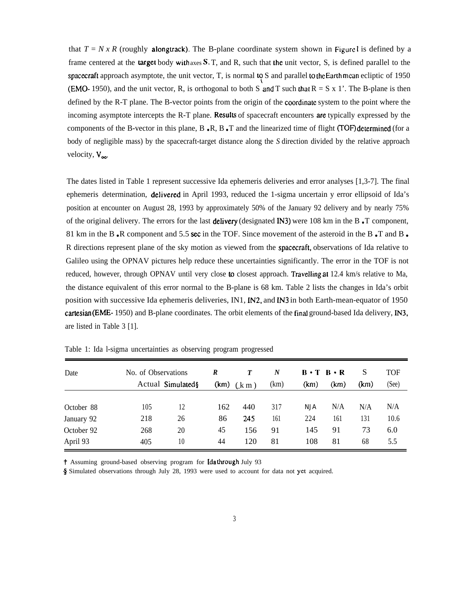that  $T = N x R$  (roughly **alongtrack)**. The B-plane coordinate system shown in Figure I is defined by a frame centered at the **target** body with axes  $S$ ,  $T$ , and  $R$ , such that the unit vector,  $S$ , is defined parallel to the spacecraft approach asymptote, the unit vector, T, is normal  $\log S$  and parallel to the Earth mean ecliptic of 1950 (EMO- 1950), and the unit vector, R, is orthogonal to both S and T such that  $R = S \times 1'$ . The B-plane is then defined by the R-T plane. The B-vector points from the origin of the coordinate system to the point where the incoming asymptote intercepts the R-T plane. Results of spacecraft encounters are typically expressed by the components of the B-vector in this plane,  $B \cdot R$ ,  $B \cdot T$  and the linearized time of flight *(TOF)* determined *(for a*) body of negligible mass) by the spacecraft-target distance along the *S* direction divided by the relative approach velocity,  $V_{\infty}$ .

The dates listed in Table 1 represent successive Ida ephemeris deliveries and error analyses [1,3-7]. The final ephemeris determination, delivered in April 1993, reduced the 1-sigma uncertain y error ellipsoid of Ida's position at encounter on August 28, 1993 by approximately 50% of the January 92 delivery and by nearly 75% of the original delivery. The errors for the last **delivery** (designated IN3) were 108 km in the B  $\cdot$ T component, 81 km in the B.R component and 5.5 sec in the TOF. Since movement of the asteroid in the B.T and B. R directions represent plane of the sky motion as viewed from the **spacecraft**, observations of Ida relative to Galileo using the OPNAV pictures help reduce these uncertainties significantly. The error in the TOF is not reduced, however, through OPNAV until very close to closest approach. Travelling at 12.4 km/s relative to Ma, the distance equivalent of this error normal to the B-plane is 68 km. Table 2 lists the changes in Ida's orbit position with successive Ida ephemeris deliveries, IN1, IN2, and IN3 in both Earth-mean-equator of 1950 cartesian (EME- 1950) and B-plane coordinates. The orbit elements of the final ground-based Ida delivery, IN3, are listed in Table 3 [1].

| Date       | No. of Observations |                   | $\boldsymbol{R}$ | $\boldsymbol{T}$ | $\boldsymbol{N}$ | $B \cdot T \cdot R \cdot R$ |      | S    | TOF   |
|------------|---------------------|-------------------|------------------|------------------|------------------|-----------------------------|------|------|-------|
|            |                     | Actual Simulated§ |                  | $(km)$ $(km)$    | (km)             | (km)                        | (km) | (km) | (See) |
|            |                     |                   |                  |                  |                  |                             |      |      |       |
| October 88 | 105                 | 12                | 162              | 440              | 317              | NJA                         | N/A  | N/A  | N/A   |
| January 92 | 218                 | 26                | 86               | 245              | 161              | 224                         | 161  | 131  | 10.6  |
| October 92 | 268                 | 20                | 45               | 156              | 91               | 145                         | 91   | 73   | 6.0   |
| April 93   | 405                 | 10                | 44               | 120              | 81               | 108                         | 81   | 68   | 5.5   |

Table 1: Ida l-sigma uncertainties as observing program progressed

t Assuming ground-based observing program for Idathrough July 93

\$ Simulated observations through July 28, 1993 were used to account for data not yet acquired.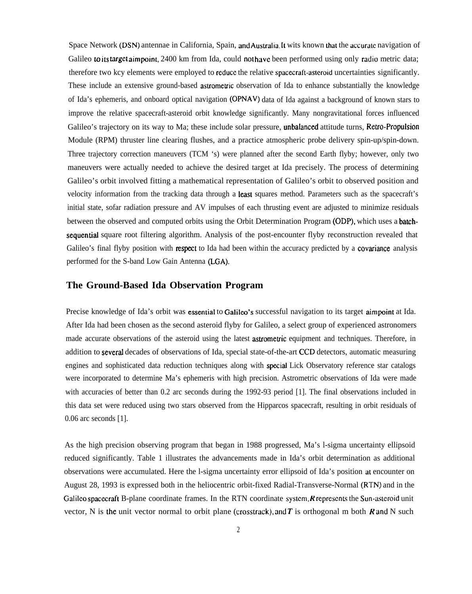Space Network (DSN) antennae in California, Spain, and Australia. It wits known that the accurate navigation of Galileo to its target aimpoint, 2400 km from Ida, could not have been performed using only radio metric data; therefore two kcy elements were employed to rcducc the relative spacecraft-aslcroid uncertainties significantly. These include an extensive ground-based astrometric observation of Ida to enhance substantially the knowledge of Ida's ephemeris, and onboard optical navigation (OPNAV) data of Ida against a background of known stars to improve the relative spacecraft-asteroid orbit knowledge significantly. Many nongravitational forces influenced Galileo's trajectory on its way to Ma; these include solar pressure, unbalanced attitude turns, Retro-Propulsion Module (RPM) thruster line clearing flushes, and a practice atmospheric probe delivery spin-up/spin-down. Three trajectory correction maneuvers (TCM 's) were planned after the second Earth flyby; however, only two maneuvers were actually needed to achieve the desired target at Ida precisely. The process of determining Galileo's orbit involved fitting a mathematical representation of Galileo's orbit to observed position and velocity information from the tracking data through a least squares method. Parameters such as the spacecraft's initial state, sofar radiation pressure and AV impulses of each thrusting event are adjusted to minimize residuals between the observed and computed orbits using the Orbit Determination Program (ODP), which uses a batchsequentiaf square root filtering algorithm. Analysis of the post-encounter flyby reconstruction revealed that Galileo's final flyby position with respect to Ida had been within the accuracy predicted by a covariance analysis performed for the S-band Low Gain Antenna (LGA).

# **The Ground-Based Ida Observation Program**

Precise knowledge of Ida's orbit was essential to Galileo's successful navigation to its target aimpoint at Ida. After Ida had been chosen as the second asteroid flyby for Galileo, a select group of experienced astronomers made accurate observations of the asteroid using the latest astrometric equipment and techniques. Therefore, in addition to severaf decades of observations of Ida, special state-of-the-art CCD detectors, automatic measuring engines and sophisticated data reduction techniques along with spcciaf Lick Observatory reference star catalogs were incorporated to determine Ma's ephemeris with high precision. Astrometric observations of Ida were made with accuracies of better than 0.2 arc seconds during the 1992-93 period [1]. The final observations included in this data set were reduced using two stars observed from the Hipparcos spacecraft, resulting in orbit residuals of 0.06 arc seconds [1].

As the high precision observing program that began in 1988 progressed, Ma's l-sigma uncertainty ellipsoid reduced significantly. Table 1 illustrates the advancements made in Ida's orbit determination as additional observations were accumulated. Here the l-sigma uncertainty error ellipsoid of Ida's position at encounter on August 28, 1993 is expressed both in the heliocentric orbit-fixed Radial-Transverse-Normal (RTN) and in the Galileo spacecraft B-plane coordinate frames. In the RTN coordinate system,  $R$  represents the Sun-asteroid unit vector, N is the unit vector normal to orbit plane (crosstrack), and T is orthogonal m both R and N such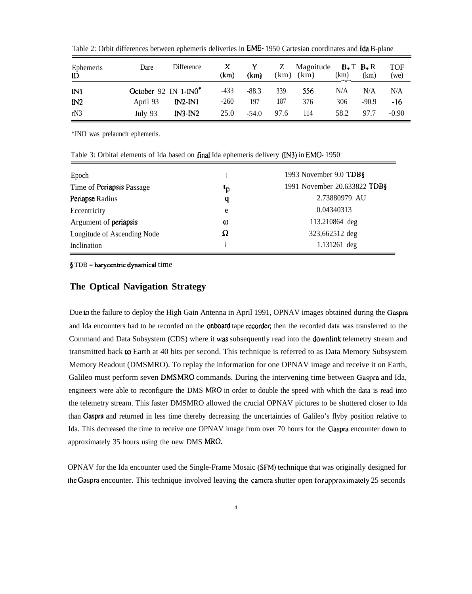| Ephemeris<br>ID | Dare                             | Difference | $\mathbf{X}$<br>(km) | $\mathbf{Y}$ and $\mathbf{Y}$<br>(km) | Z<br>(km) | Magnitude $B \cdot T B \cdot R$<br>(km) | (km) | (km)    | <b>TOF</b><br>(we) |
|-----------------|----------------------------------|------------|----------------------|---------------------------------------|-----------|-----------------------------------------|------|---------|--------------------|
| IN1             | October 92 IN 1-IN0 <sup>*</sup> |            | $-433$               | $-88.3$                               | 339       | 556                                     | N/A  | N/A     | N/A                |
| IN2             | April 93                         | $IN2-N1$   | $-260$               | 197                                   | 187       | 376                                     | 306  | $-90.9$ | -16                |
| rN3             | July 93                          | $IN3-IN2$  | 25.0                 | $-54.0$                               | 97.6      | 114                                     | 58.2 | 97.7    | $-0.90$            |

Table 2: Orbit differences between ephemeris deliveries in **EME**-1950 Cartesian coordinates and Ida B-plane

\*INO was prelaunch ephemeris.

| Table 3: Orbital elements of Ida based on final Ida ephemeris delivery (IN3) in EMO-1950 |  |  |
|------------------------------------------------------------------------------------------|--|--|
|------------------------------------------------------------------------------------------|--|--|

| Epoch                        |    | 1993 November 9.0 TDB§       |
|------------------------------|----|------------------------------|
| Time of Periapsis Passage    | ιp | 1991 November 20.633822 TDB§ |
| Periapse Radius              | q  | 2.73880979 AU                |
| Eccentricity                 | e  | 0.04340313                   |
| Argument of <b>periapsis</b> | ω  | 113.210864 deg               |
| Longitude of Ascending Node  | Ω  | 323,662512 deg               |
| Inclination                  |    | 1.131261 deg                 |

 $$ TDB = barycentric dynamical time$ 

# **The Optical Navigation Strategy**

Due to the failure to deploy the High Gain Antenna in April 1991, OPNAV images obtained during the Gaspra and Ida encounters had to be recorded on the **onboard** tape recorder; then the recorded data was transferred to the Command and Data Subsystem (CDS) where it was subsequently read into the dowrdink telemetry stream and transmitted back to Earth at 40 bits per second. This technique is referred to as Data Memory Subsystem Memory Readout (DMSMRO). To replay the information for one OPNAV image and receive it on Earth, Galileo must perform seven DMSMRO commands. During the intervening time between Gaspra and Ida, engineers were able to reconfigure the DMS MRO in order to double the speed with which the data is read into the telemetry stream. This faster DMSMRO allowed the crucial OPNAV pictures to be shuttered closer to Ida than Gaspra and returned in less time thereby decreasing the uncertainties of Galileo's flyby position relative to Ida. This decreased the time to receive one OPNAV image from over 70 hours for the Gaspra encounter down to approximately 35 hours using the new DMS MRO.

OPNAV for the Ida encounter used the Single-Frame Mosaic (SFM) technique that was originally designed for the Gaspra encounter. This technique involved leaving the camera shutter open for approximately 25 seconds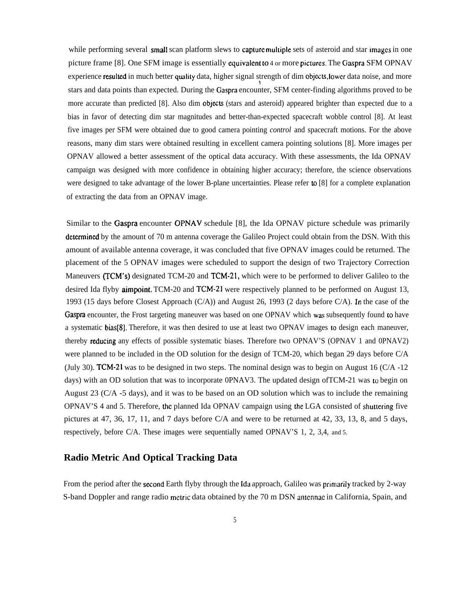while performing several small scan platform slews to capture multiple sets of asteroid and star images in one picture frame [8]. One SFM image is essentially equivalent to 4 or more pictures. The Gaspra SFM OPNAV experience resulted in much better quality data, higher signal strength of dim objects, lower data noise, and more 1 stars and data points than expected. During the Gaspra encounter, SFM center-finding algorithms proved to be more accurate than predicted [8]. Also dim objects (stars and asteroid) appeared brighter than expected due to a bias in favor of detecting dim star magnitudes and better-than-expected spacecraft wobble control [8]. At least five images per SFM were obtained due to good camera pointing *control* and spacecraft motions. For the above reasons, many dim stars were obtained resulting in excellent camera pointing solutions [8]. More images per OPNAV allowed a better assessment of the optical data accuracy. With these assessments, the Ida OPNAV campaign was designed with more confidence in obtaining higher accuracy; therefore, the science observations were designed to take advantage of the lower B-plane uncertainties. Please refer to [8] for a complete explanation of extracting the data from an OPNAV image.

Similar to the Gaspra encounter OPNAV schedule [8], the Ida OPNAV picture schedule was primarily determined by the amount of 70 m antenna coverage the Galileo Project could obtain from the DSN. With this amount of available antenna coverage, it was concluded that five OPNAV images could be returned. The placement of the 5 OPNAV images were scheduled to support the design of two Trajectory Correction Maneuvers (TCM's) designated TCM-20 and TCM-21, which were to be performed to deliver Galileo to the desired Ida flyby aimpoint. TCM-20 and TCM-21 were respectively planned to be performed on August 13, 1993 (15 days before Closest Approach (C/A)) and August 26, 1993 (2 days before C/A). In the case of the Gaspra encounter, the Frost targeting maneuver was based on one OPNAV which was subsequently found to have a systematic bias[8]. Therefore, it was then desired to use at least two OPNAV images to design each maneuver, thereby reducing any effects of possible systematic biases. Therefore two OPNAV'S (OPNAV 1 and 0PNAV2) were planned to be included in the OD solution for the design of TCM-20, which began 29 days before C/A (July 30). TCM-21 was to be designed in two steps. The nominal design was to begin on August 16 (C/A -12 days) with an OD solution that was to incorporate 0PNAV3. The updated design of TCM-21 was to begin on August 23 (C/A -5 days), and it was to be based on an OD solution which was to include the remaining OPNAV'S 4 and 5. Therefore, the planned Ida OPNAV campaign using the LGA consisted of shuttering five pictures at 47, 36, 17, 11, and 7 days before C/A and were to be returned at 42, 33, 13, 8, and 5 days, respectively, before C/A. These images were sequentially named OPNAV'S 1, 2, 3,4, and 5.

# **Radio Metric And Optical Tracking Data**

From the period after the second Earth flyby through the Ida approach, Galileo was primarily tracked by 2-way S-band Doppler and range radio metric data obtained by the 70 m DSN antennae in California, Spain, and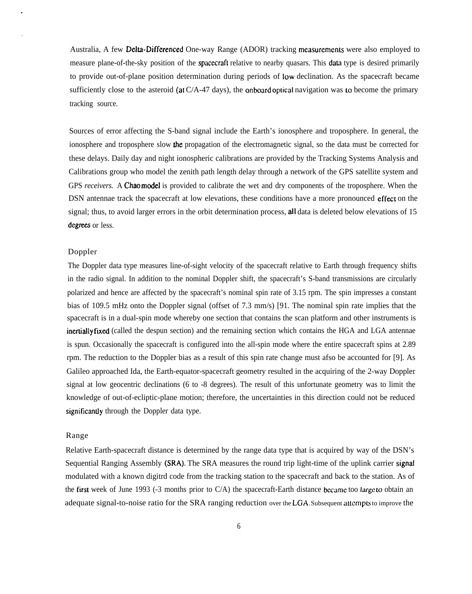Australia, A few **Delta-Differenced** One-way Range (ADOR) tracking measurements were also employed to measure plane-of-the-sky position of the spacecraft relative to nearby quasars. This data type is desired primarily to provide out-of-plane position determination during periods of low declination. As the spacecraft became sufficiently close to the asteroid (at  $C/A-47$  days), the onboard optical navigation was to become the primary tracking source.

Sources of error affecting the S-band signal include the Earth's ionosphere and troposphere. In general, the ionosphere and troposphere slow the propagation of the electromagnetic signal, so the data must be corrected for these delays. Daily day and night ionospheric calibrations are provided by the Tracking Systems Analysis and Calibrations group who model the zenith path length delay through a network of the GPS satellite system and GPS *receivers*. A Chao model is provided to calibrate the wet and dry components of the troposphere. When the DSN antennae track the spacecraft at low elevations, these conditions have a more pronounced effect on the signal; thus, to avoid larger errors in the orbit determination process, all data is deleted below elevations of 15 degrees or less.

## Doppler

The Doppler data type measures line-of-sight velocity of the spacecraft relative to Earth through frequency shifts in the radio signal. In addition to the nominal Doppler shift, the spacecraft's S-band transmissions are circularly polarized and hence are affected by the spacecraft's nominal spin rate of 3.15 rpm. The spin impresses a constant bias of 109.5 mHz onto the Doppler signal (offset of 7.3 mm/s) [91. The nominal spin rate implies that the spacecraft is in a dual-spin mode whereby one section that contains the scan platform and other instruments is inertially fixed (called the despun section) and the remaining section which contains the HGA and LGA antennae is spun. Occasionally the spacecraft is configured into the all-spin mode where the entire spacecraft spins at 2.89 rpm. The reduction to the Doppler bias as a result of this spin rate change must afso be accounted for [9]. As Galileo approached Ida, the Earth-equator-spacecraft geometry resulted in the acquiring of the 2-way Doppler signal at low geocentric declinations (6 to -8 degrees). The result of this unfortunate geometry was to limit the knowledge of out-of-ecliptic-plane motion; therefore, the uncertainties in this direction could not be reduced significantly through the Doppler data type.

## Range

Relative Earth-spacecraft distance is determined by the range data type that is acquired by way of the DSN's Sequential Ranging Assembly (SRA). The SRA measures the round trip light-time of the uplink carrier signal modulated with a known digitrd code from the tracking station to the spacecraft and back to the station. As of the first week of June 1993 (-3 months prior to  $C/A$ ) the spacecraft-Earth distance became too large to obtain an adequate signal-to-noise ratio for the SRA ranging reduction over the LGA. Subsequent attempts to improve the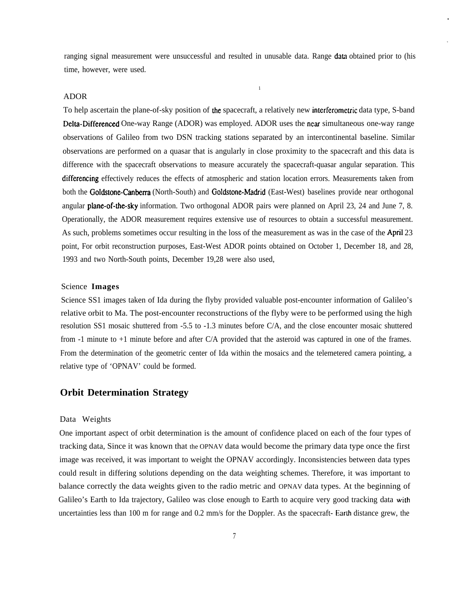ranging signal measurement were unsuccessful and resulted in unusable data. Range data obtained prior to (his time, however, were used.

**1**

### ADOR

To help ascertain the plane-of-sky position of the spacecraft, a relatively new interferometric data type, S-band Delta-Differenced One-way Range (ADOR) was employed. ADOR uses the near simultaneous one-way range observations of Galileo from two DSN tracking stations separated by an intercontinental baseline. Similar observations are performed on a quasar that is angularly in close proximity to the spacecraft and this data is difference with the spacecraft observations to measure accurately the spacecraft-quasar angular separation. This differencing effectively reduces the effects of atmospheric and station location errors. Measurements taken from both the Goldstone-Canberra (North-South) and Goldstone-Madrid (East-West) baselines provide near orthogonal angular **plane-of-the-sky** information. Two orthogonal ADOR pairs were planned on April 23, 24 and June 7, 8. Operationally, the ADOR measurement requires extensive use of resources to obtain a successful measurement. As such, problems sometimes occur resulting in the loss of the measurement as was in the case of the April 23 point, For orbit reconstruction purposes, East-West ADOR points obtained on October 1, December 18, and 28, 1993 and two North-South points, December 19,28 were also used,

#### Science **Images**

Science SS1 images taken of Ida during the flyby provided valuable post-encounter information of Galileo's relative orbit to Ma. The post-encounter reconstructions of the flyby were to be performed using the high resolution SS1 mosaic shuttered from -5.5 to -1.3 minutes before C/A, and the close encounter mosaic shuttered from -1 minute to +1 minute before and after C/A provided that the asteroid was captured in one of the frames. From the determination of the geometric center of Ida within the mosaics and the telemetered camera pointing, a relative type of 'OPNAV' could be formed.

# **Orbit Determination Strategy**

#### Data Weights

One important aspect of orbit determination is the amount of confidence placed on each of the four types of tracking data, Since it was known that the OPNAV data would become the primary data type once the first image was received, it was important to weight the OPNAV accordingly. Inconsistencies between data types could result in differing solutions depending on the data weighting schemes. Therefore, it was important to balance correctly the data weights given to the radio metric and OPNAV data types. At the beginning of Galileo's Earth to Ida trajectory, Galileo was close enough to Earth to acquire very good tracking data with uncertainties less than 100 m for range and 0.2 mm/s for the Doppler. As the spacecraft- Earth distance grew, the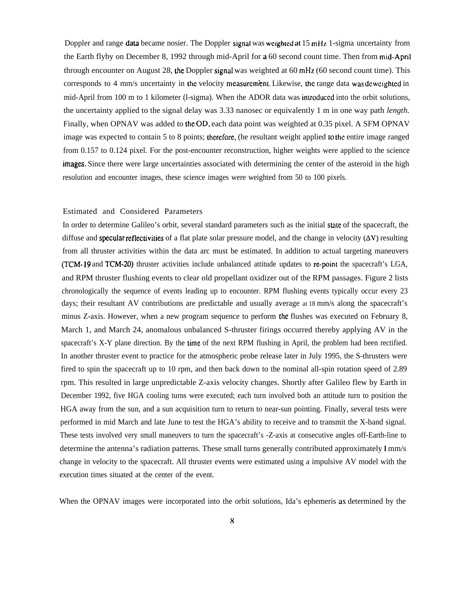Doppler and range data became nosier. The Doppler signal was weighted at 15 mHz 1-sigma uncertainty from the Earth flyby on December 8, 1992 through mid-April for a 60 second count time. Then from mid-April through encounter on August 28, the Doppler signal was weighted at  $60 \text{ mHz}$  ( $60 \text{ second count time}$ ). This corresponds to 4 mm/s uncertainty in the velocity measurement. Likewise, the range data was deweighted in mid-April from 100 m to 1 kilometer (1-sigma). When the ADOR data was introduced into the orbit solutions, the uncertainty applied to the signal delay was 3.33 nanosec or equivalently 1 m in one way path *length.* Finally, when OPNAV was added to the OD, each data point was weighted at 0.35 pixel. A SFM OPNAV image was expected to contain 5 to 8 points; therefore, (he resultant weight applied to the entire image ranged from 0.157 to 0.124 pixel. For the post-encounter reconstruction, higher weights were applied to the science images. Since there were large uncertainties associated with determining the center of the asteroid in the high resolution and encounter images, these science images were weighted from 50 to 100 pixels.

## Estimated and Considered Parameters

In order to determine Galileo's orbit, several standard parameters such as the initial stale of the spacecraft, the diffuse and specular reflectivities of a flat plate solar pressure model, and the change in velocity  $(\Delta V)$  resulting from all thruster activities within the data arc must be estimated. In addition to actual targeting maneuvers (TCM- 19 and TCM-20) thruster activities include unbalanced attitude updates to re-point the spacecraft's LGA, and RPM thruster flushing events to clear old propellant oxidizer out of the RPM passages. Figure 2 lists chronologically the sequence of events leading up to encounter. RPM flushing events typically occur every 23 days; their resultant AV contributions are predictable and usually average at 18 mm/s along the spacecraft's minus Z-axis. However, when a new program sequence to perform the flushes was executed on February 8, March 1, and March 24, anomalous unbalanced S-thruster firings occurred thereby applying AV in the spacecraft's X-Y plane direction. By the time of the next RPM flushing in April, the problem had been rectified. In another thruster event to practice for the atmospheric probe release later in July 1995, the S-thrusters were fired to spin the spacecraft up to 10 rpm, and then back down to the nominal all-spin rotation speed of 2.89 rpm. This resulted in large unpredictable Z-axis velocity changes. Shortly after Galileo flew by Earth in December 1992, five HGA cooling turns were executed; each turn involved both an attitude turn to position the HGA away from the sun, and a sun acquisition turn to return to near-sun pointing. Finally, several tests were performed in mid March and late June to test the HGA's ability to receive and to transmit the X-band signal. These tests involved very small maneuvers to turn the spacecraft's -Z-axis at consecutive angles off-Earth-line to determine the antenna's radiation patterns. These small turns generally contributed approximately 1 mm/s change in velocity to the spacecraft. All thruster events were estimated using a impulsive AV model with the execution times situated at the center of the event.

When the OPNAV images were incorporated into the orbit solutions, Ida's ephemeris as determined by the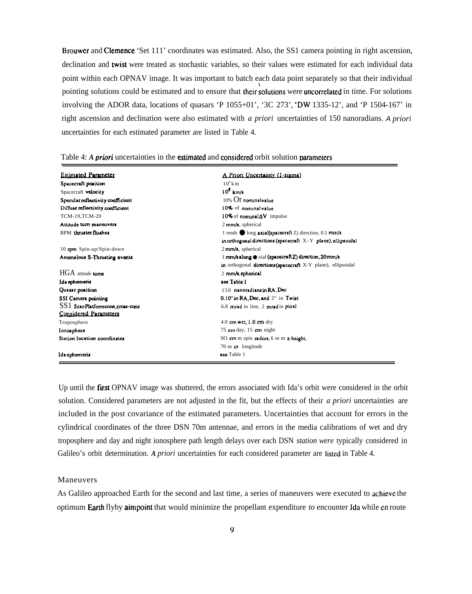Brouwer and Clemence 'Set 111' coordinates was estimated. Also, the SS1 camera pointing in right ascension, declination and twist were treated as stochastic variables, so their values were estimated for each individual data point within each OPNAV image. It was important to batch each data point separately so that their individual pointing solutions could be estimated and to ensure that their solutions were uncorrelated in time. For solutions involving the ADOR data, locations of quasars 'P 1055+01', '3C 273', 'DW 1335-12', and 'P 1504-167' in right ascension and declination were also estimated with  $a$  priori uncertainties of 150 nanoradians. A priori uncertainties for each estimated parameter are listed in Table 4.

| <b>Estimated Parameter</b>           | A Priori Uncertainty (1-sigma)                                 |
|--------------------------------------|----------------------------------------------------------------|
| Spacecraft position                  | $10^{\circ}$ k m                                               |
| Spacecraft velocity                  | $10^8$ km/s                                                    |
| Specular reflectivity coefficient    | $10\%$ $\overline{\text{O}}$ nominal value                     |
| Diffuse reflectivity coefficient     | 10% of nominal value.                                          |
| TCM-19,TCM-20                        | 10% of nominal $\Delta V$ impulse                              |
| Attitude turn maneuvers              | $2$ mm/s, spherical                                            |
| RPM thruster flushes                 | 1 rends $\bullet$ long axial(spacecraft Z) direction, 0.5 mm/s |
|                                      | in orthogonal directions (spacecraft $X-Y$ plane), ellipsoidal |
| 10 rpm Spin-up/Spin-down             | $2$ mm/s, spherical                                            |
| Anomalous S-Thrusting events         | 1 mm/s along $\bullet$ xial (spacecraft Z) direction, 20 mm/s  |
|                                      | in orthogonal directions (spacecraft X-Y plane), ellipsoidal   |
| $HGA$ attitude <b>turns</b>          | 2 mm/s, spherical                                              |
| Ida ephemeris                        | see Table l                                                    |
| Quasar position                      | 150 nanoradians in RA. Dec                                     |
| SSI Camera pointing                  | 0.10" in RA. Dec. and 2" in Twist                              |
| $SS1$ Scan Platform cone, cross-cone | 6.8 mrad in line, 2 mrad in pixel                              |
| Considered Parameters                |                                                                |
| Troposphere                          | $4.0$ cm wet, $1.0$ cm dry                                     |
| Ionosphere                           | 75 cm day, $15$ cm night                                       |
| Station location coordinates         | SO cm m spin radius, 6 m m z height,                           |
|                                      | $70 \text{ m}$ in longitude                                    |
| Ida ephemeria                        | see Table 1                                                    |

## Table 4: A priori uncertainties in the estimated and considered orbit solution parameters

Up until the first OPNAV image was shuttered, the errors associated with Ida's orbit were considered in the orbit solution. Considered parameters are not adjusted in the fit, but the effects of their a priori uncertainties are included in the post covariance of the estimated parameters. Uncertainties that account for errors in the cylindrical coordinates of the three DSN 70m antennae, and errors in the media calibrations of wet and dry troposphere and day and night ionosphere path length delays over each DSN *station were* typically considered in Galileo's orbit determination. A priori uncertainties for each considered parameter are listed in Table 4.

## Maneuvers

As Galileo approached Earth for the second and last time, a series of maneuvers were executed to achieve the optimum Earth flyby aimpoint that would minimize the propellant expenditure to encounter Ida while en route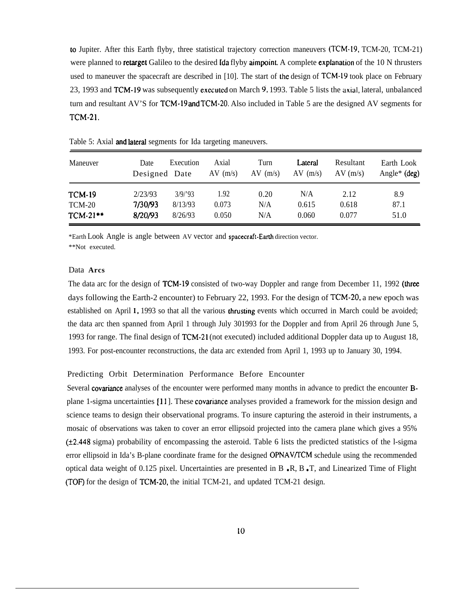to Jupiter. After this Earth flyby, three statistical trajectory correction maneuvers (TCM- 19, TCM-20, TCM-21) were planned to **retarget** Galileo to the desired **Ida** flyby aimpoint. A complete explanation of the 10 N thrusters used to maneuver the spacecraft are described in [10]. The start of the design of TCM-19 took place on February 23, 1993 and TCM-19 was subsequently executed on March 9, 1993. Table 5 lists the axial, lateral, unbalanced turn and resultant AV'S for TCM-19 and TCM-20. Also included in Table 5 are the designed AV segments for TCM-21.

| Maneuver      | Date<br>Designed Date | Execution | Axial<br>$AV$ (m/s) | Turn<br>$AV$ (m/s) | Lateral<br>$AV$ (m/s) | Resultant<br>AV(m/s) | Earth Look<br>Angle <sup>*</sup> (deg) |
|---------------|-----------------------|-----------|---------------------|--------------------|-----------------------|----------------------|----------------------------------------|
| <b>TCM-19</b> | 2/23/93               | 3/9/93    | 1.92                | 0.20               | N/A                   | 2.12                 | 8.9                                    |
| TCM-20        | 7/30/93               | 8/13/93   | 0.073               | N/A                | 0.615                 | 0.618                | 87.1                                   |
| $TCM-21$ **   | 8/20/93               | 8/26/93   | 0.050               | N/A                | 0.060                 | 0.077                | 51.0                                   |

Table 5: Axial and lateral segments for Ida targeting maneuvers.

\*Earth Look Angle is angle between AV vector and spacecraft-Emh direction vector. \*\*Not executed.

## Data **Arcs**

The data arc for the design of TCM-19 consisted of two-way Doppler and range from December 11, 1992 (three days following the Earth-2 encounter) to February 22, 1993. For the design of TCM-20, a new epoch was established on April 1, 1993 so that all the various thrusting events which occurred in March could be avoided; the data arc then spanned from April 1 through July 301993 for the Doppler and from April 26 through June 5, 1993 for range. The final design of TCM-21 (not executed) included additional Doppler data up to August 18, 1993. For post-encounter reconstructions, the data arc extended from April 1, 1993 up to January 30, 1994.

## Predicting Orbit Determination Performance Before Encounter

Several covariance analyses of the encounter were performed many months in advance to predict the encounter Bplane 1-sigma uncertainties [11 ]. These covariance analyses provided a framework for the mission design and science teams to design their observational programs. To insure capturing the asteroid in their instruments, a mosaic of observations was taken to cover an error ellipsoid projected into the camera plane which gives a 95%  $(\pm 2.448 \text{ sigma})$  probability of encompassing the asteroid. Table 6 lists the predicted statistics of the l-sigma error ellipsoid in Ida's B-plane coordinate frame for the designed OPNAV/TCM schedule using the recommended optical data weight of 0.125 pixel. Uncertainties are presented in  $B \cdot R$ ,  $B \cdot T$ , and Linearized Time of Flight (TOF) for the design of TCM-20, the initial TCM-21, and updated TCM-21 design.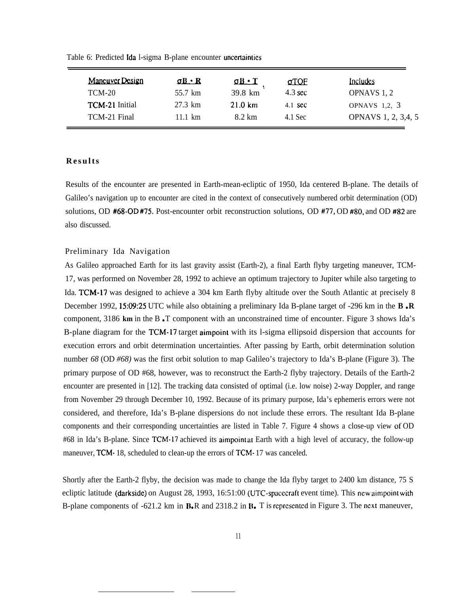| Table 6: Predicted Ida l-sigma B-plane encounter uncertainties |                   |                   |                     |  |  |  |  |
|----------------------------------------------------------------|-------------------|-------------------|---------------------|--|--|--|--|
| $\Omega$ $\Omega$ $\cdot$ R                                    |                   | <u>aTOF</u>       | Includes            |  |  |  |  |
| 55.7 km                                                        | 39.8 km           | $4.3 \text{ sec}$ | OPNAVS 1, 2         |  |  |  |  |
| 27.3 km                                                        | $21.0 \text{ km}$ | 4.1 sec           | OPNAVS 1,2, 3       |  |  |  |  |
| 11.1 $km$                                                      | 8.2 km            | 4.1 Sec           | OPNAVS 1, 2, 3,4, 5 |  |  |  |  |
|                                                                |                   | $T \cdot \Pi$     |                     |  |  |  |  |

# **Result s**

Results of the encounter are presented in Earth-mean-ecliptic of 1950, Ida centered B-plane. The details of Galileo's navigation up to encounter are cited in the context of consecutively numbered orbit determination (OD) solutions, OD #68-OD #75. Post-encounter orbit reconstruction solutions, OD #77, OD #80, and OD #82 are also discussed.

## Preliminary Ida Navigation

As Galileo approached Earth for its last gravity assist (Earth-2), a final Earth flyby targeting maneuver, TCM-17, was performed on November 28, 1992 to achieve an optimum trajectory to Jupiter while also targeting to Ida. TCM-17 was designed to achieve a 304 km Earth flyby altitude over the South Atlantic at precisely 8 December 1992, 15:09:25 UTC while also obtaining a preliminary Ida B-plane target of -296 km in the **B.R** component, 3186 km in the B<sub>.</sub>T component with an unconstrained time of encounter. Figure 3 shows Ida's B-plane diagram for the TCM-17 target aimpoint with its l-sigma ellipsoid dispersion that accounts for execution errors and orbit determination uncertainties. After passing by Earth, orbit determination solution number *68* (OD *#68)* was the first orbit solution to map Galileo's trajectory to Ida's B-plane (Figure 3). The primary purpose of OD #68, however, was to reconstruct the Earth-2 flyby trajectory. Details of the Earth-2 encounter are presented in [12]. The tracking data consisted of optimal (i.e. low noise) 2-way Doppler, and range from November 29 through December 10, 1992. Because of its primary purpose, Ida's ephemeris errors were not considered, and therefore, Ida's B-plane dispersions do not include these errors. The resultant Ida B-plane components and their corresponding uncertainties are listed in Table 7. Figure 4 shows a close-up view of OD #68 in Ida's B-plane. Since TCM-17 achieved its aimpoint at Earth with a high level of accuracy, the follow-up maneuver, TCM- 18, scheduled to clean-up the errors of TCM- 17 was canceled.

Shortly after the Earth-2 flyby, the decision was made to change the Ida flyby target to 2400 km distance, 75 S ecliptic latitude (darkside) on August 28, 1993, 16:51:00 (UTC-spacecraft event time). This new aimpoint with B-plane components of  $-621.2$  km in  $\mathbf{B} \cdot \mathbf{R}$  and 2318.2 in  $\mathbf{B} \cdot \mathbf{T}$  is represented in Figure 3. The next maneuver,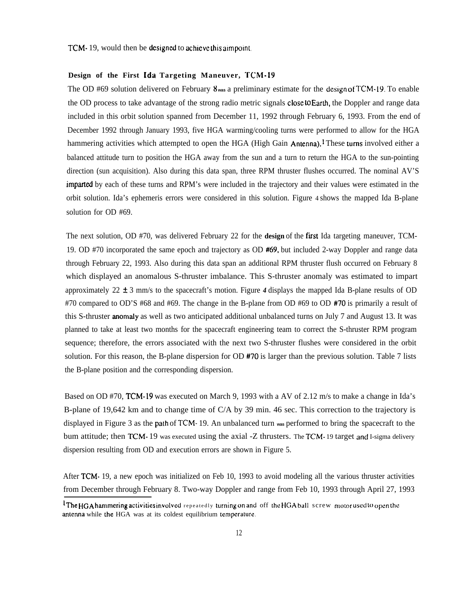### **Design of the First [da Targeting Maneuver,** TCM-19

The OD #69 solution delivered on February 8 **was** a preliminary estimate for the design ot' TCM- 19. To enable the OD process to take advantage of the strong radio metric signals close to Earth, the Doppler and range data included in this orbit solution spanned from December 11, 1992 through February 6, 1993. From the end of December 1992 through January 1993, five HGA warming/cooling turns were performed to allow for the HGA hammering activities which attempted to open the HGA (High Gain Antenna).<sup>1</sup> These turns involved either a balanced attitude turn to position the HGA away from the sun and a turn to return the HGA to the sun-pointing direction (sun acquisition). Also during this data span, three RPM thruster flushes occurred. The nominal AV'S impasted by each of these turns and RPM's were included in the trajectory and their values were estimated in the orbit solution. Ida's ephemeris errors were considered in this solution. Figure 4 shows the mapped Ida B-plane solution for OD #69.

The next solution, OD #70, was delivered February 22 for the **design** of the fwst Ida targeting maneuver, TCM-19. OD #70 incorporated the same epoch and trajectory as OD #69, but included 2-way Doppler and range data through February 22, 1993. Also during this data span an additional RPM thruster flush occurred on February 8 which displayed an anomalous S-thruster imbalance. This S-thruster anomaly was estimated to impart approximately 22  $\pm$  3 mm/s to the spacecraft's motion. Figure 4 displays the mapped Ida B-plane results of OD #70 compared to OD'S #68 and #69. The change in the B-plane from OD #69 to OD #70 is primarily a result of this S-thruster anomaty as well as two anticipated additional unbalanced turns on July 7 and August 13. It was planned to take at least two months for the spacecraft engineering team to correct the S-thruster RPM program sequence; therefore, the errors associated with the next two S-thruster flushes were considered in the orbit solution. For this reason, the B-plane dispersion for OD #70 is larger than the previous solution. Table 7 lists the B-plane position and the corresponding dispersion.

Based on OD #70, TCM-19 was executed on March 9, 1993 with a AV of 2.12 m/s to make a change in Ida's B-plane of 19,642 km and to change time of C/A by 39 min. 46 sec. This correction to the trajectory is displayed in Figure 3 as the path of TCM- 19. An unbalanced turn **was** performed to bring the spacecraft to the bum attitude; then TCM- 19 was executed using the axial -Z thrusters. The TCM- 19 target and I-sigma delivery dispersion resulting from OD and execution errors are shown in Figure 5.

After TCM- 19, a new epoch was initialized on Feb 10, 1993 to avoid modeling all the various thruster activities from December through February 8. Two-way Doppler and range from Feb 10, 1993 through April 27, 1993

 $^{1}$ The HGA hammering activities involved repeatedly turning on and off the HGA ball screw motor used to open the antenna while the HGA was at its coldest equilibrium temperature.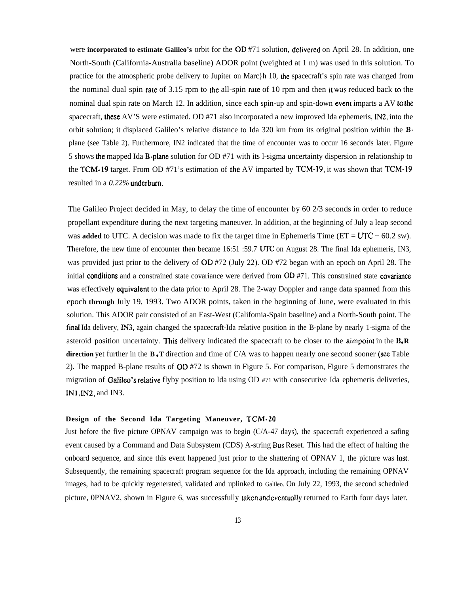were **incorporated to estimate Galileo's** orbit for the OD #71 solution, delivered on April 28. In addition, one North-South (California-Australia baseline) ADOR point (weighted at 1 m) was used in this solution. To practice for the atmospheric probe delivery to Jupiter on Marc}h 10, the spacecraft's spin rate was changed from the nominal dual spin rate of 3.15 rpm to the all-spin rate of 10 rpm and then it was reduced back to the nominal dual spin rate on March 12. In addition, since each spin-up and spin-down event imparts a AV to the spacecraft, these AV'S were estimated. OD #71 also incorporated a new improved Ida ephemeris, **IN2,** into the orbit solution; it displaced Galileo's relative distance to Ida 320 km from its original position within the Bplane (see Table 2). Furthermore, IN2 indicated that the time of encounter was to occur 16 seconds later. Figure 5 shows the mapped Ida B-pfane solution for OD #71 with its l-sigma uncertainty dispersion in relationship to the TCM-19 target. From OD #71's estimation of the AV imparted by TCM-19, it was shown that TCM-19 resulted in a *0.22%* underbum.

The Galileo Project decided in May, to delay the time of encounter by 60 2/3 seconds in order to reduce propellant expenditure during the next targeting maneuver. In addition, at the beginning of July a leap second was **added** to UTC. A decision was made to fix the target time in Ephemeris Time ( $ET = UTC + 60.2$  sw). Therefore, the new time of encounter then became 16:51 :59.7 UTC on August 28. The final Ida ephemeris, IN3, was provided just prior to the delivery of OD #72 (July 22). OD #72 began with an epoch on April 28. The initial conditions and a constrained state covariance were derived from OD #71. This constrained state covariance was effectively **equivalent** to the data prior to April 28. The 2-way Doppler and range data spanned from this epoch **through** July 19, 1993. Two ADOR points, taken in the beginning of June, were evaluated in this solution. This ADOR pair consisted of an East-West (Califomia-Spain baseline) and a North-South point. The tinaf Ida delivery, IN3, again changed the spacecraft-Ida relative position in the B-plane by nearly 1-sigma of the asteroid position uncertainty. This delivery indicated the spacecraft to be closer to the aimpoint in the **B**.**R direction** yet further in the **B** • **T** direction and time of C/A was to happen nearly one second sooner (see Table 2). The mapped B-plane results of OD #72 is shown in Figure 5. For comparison, Figure 5 demonstrates the migration of Galileo's relative flyby position to Ida using OD #71 with consecutive Ida ephemeris deliveries, IN1, IN2, and IN3.

## **Design of the Second Ida Targeting Maneuver, TCM-20**

Just before the five picture OPNAV campaign was to begin (C/A-47 days), the spacecraft experienced a safing event caused by a Command and Data Subsystem (CDS) A-string Bus Reset. This had the effect of halting the onboard sequence, and since this event happened just prior to the shattering of OPNAV 1, the picture was lost. Subsequently, the remaining spacecraft program sequence for the Ida approach, including the remaining OPNAV images, had to be quickly regenerated, validated and uplinked to Galileo. On July 22, 1993, the second scheduled picture, 0PNAV2, shown in Figure 6, was successfully taken and eventually returned to Earth four days later.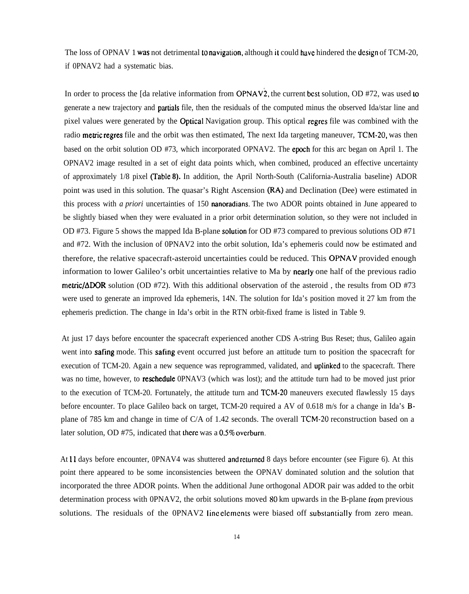The loss of OPNAV 1 was not detrimental to navigation, although it could have hindered the design of TCM-20, if 0PNAV2 had a systematic bias.

In order to process the [da relative information from  $OPNAV2$ , the current best solution, OD #72, was used to generate a new trajectory and partials file, then the residuals of the computed minus the observed Ida/star line and pixel values were generated by the **Optical** Navigation group. This optical regres file was combined with the radio metric regres file and the orbit was then estimated, The next Ida targeting maneuver, TCM-20, was then based on the orbit solution OD #73, which incorporated OPNAV2. The epoeh for this arc began on April 1. The OPNAV2 image resulted in a set of eight data points which, when combined, produced an effective uncertainty of approximately 1/8 pixel (Table **8).** In addition, the April North-South (California-Australia baseline) ADOR point was used in this solution. The quasar's Right Ascension (RA) and Declination (Dee) were estimated in this process with *a priori* uncertainties of 150 nanoradians. The two ADOR points obtained in June appeared to be slightly biased when they were evaluated in a prior orbit determination solution, so they were not included in OD #73. Figure 5 shows the mapped Ida B-plane solution for OD #73 compared to previous solutions OD #71 and #72. With the inclusion of 0PNAV2 into the orbit solution, Ida's ephemeris could now be estimated and therefore, the relative spacecraft-asteroid uncertainties could be reduced. This OPNAV provided enough information to lower Galileo's orbit uncertainties relative to Ma by nearly one half of the previous radio metric/ $\triangle DOR$  solution (OD #72). With this additional observation of the asteroid, the results from OD #73 were used to generate an improved Ida ephemeris, 14N. The solution for Ida's position moved it 27 km from the ephemeris prediction. The change in Ida's orbit in the RTN orbit-fixed frame is listed in Table 9.

At just 17 days before encounter the spacecraft experienced another CDS A-string Bus Reset; thus, Galileo again went into safing mode. This safing event occurred just before an attitude turn to position the spacecraft for execution of TCM-20. Again a new sequence was reprogrammed, validated, and uplinked to the spacecraft. There was no time, however, to **reschedule** OPNAV3 (which was lost); and the attitude turn had to be moved just prior to the execution of TCM-20. Fortunately, the attitude turn and TCM-20 maneuvers executed flawlessly 15 days before encounter. To place Galileo back on target, TCM-20 required a AV of 0.618 m/s for a change in Ida's Bplane of 785 km and change in time of C/A of 1.42 seconds. The overall TCM-20 reconstruction based on a later solution, OD #75, indicated that there was a 0.5% overburn.

At 11 days before encounter, OPNAV4 was shuttered and returned 8 days before encounter (see Figure 6). At this point there appeared to be some inconsistencies between the OPNAV dominated solution and the solution that incorporated the three ADOR points. When the additional June orthogonal ADOR pair was added to the orbit determination process with 0PNAV2, the orbit solutions moved 80 km upwards in the B-plane Irom previous solutions. The residuals of the 0PNAV2 line elements were biased off substantially from zero mean.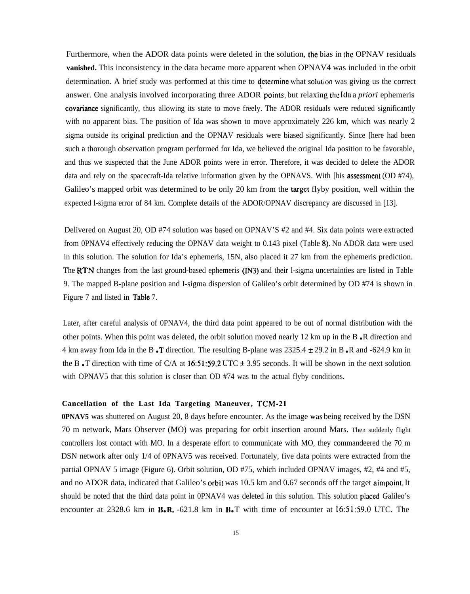Furthermore, when the ADOR data points were deleted in the solution, the bias in the OPNAV residuals **vanished.** This inconsistency in the data became more apparent when OPNAV4 was included in the orbit determination. A brief study was performed at this time to determine what solution was giving us the correct answer. One analysis involved incorporating three ADOR points, but relaxing the Ida a *priori* ephemeris covariance significantly, thus allowing its state to move freely. The ADOR residuals were reduced significantly with no apparent bias. The position of Ida was shown to move approximately 226 km, which was nearly 2 sigma outside its original prediction and the OPNAV residuals were biased significantly. Since [here had been such a thorough observation program performed for Ida, we believed the original Ida position to be favorable, and thus we suspected that the June ADOR points were in error. Therefore, it was decided to delete the ADOR data and rely on the spacecraft-Ida relative information given by the OPNAVS. With [his assessment (OD #74), Galileo's mapped orbit was determined to be only 20 km from the target flyby position, well within the expected l-sigma error of 84 km. Complete details of the ADOR/OPNAV discrepancy are discussed in [13].

Delivered on August 20, OD #74 solution was based on OPNAV'S #2 and #4. Six data points were extracted from 0PNAV4 effectively reducing the OPNAV data weight to 0.143 pixel (Table 8), No ADOR data were used in this solution. The solution for Ida's ephemeris, 15N, also placed it 27 km from the ephemeris prediction. The RTN changes from the last ground-based ephemeris (IN3) and their l-sigma uncertainties are listed in Table 9. The mapped B-plane position and I-sigma dispersion of Galileo's orbit determined by OD #74 is shown in Figure 7 and listed in Table 7.

Later, after careful analysis of 0PNAV4, the third data point appeared to be out of normal distribution with the other points. When this point was deleted, the orbit solution moved nearly 12 km up in the B  $\cdot$ R direction and 4 km away from Ida in the B  $\cdot$ T direction. The resulting B-plane was 2325.4  $\pm$  29.2 in B  $\cdot$ R and -624.9 km in the B  $\cdot$ T direction with time of C/A at 16:51:59.2 UTC  $\pm$  3.95 seconds. It will be shown in the next solution with OPNAV5 that this solution is closer than OD #74 was to the actual flyby conditions.

## **Cancellation of the Last Ida Targeting Maneuver, TCM-21**

**0PNAV5** was shuttered on August 20, 8 days before encounter. As the image was being received by the DSN 70 m network, Mars Observer (MO) was preparing for orbit insertion around Mars. Then suddenly flight controllers lost contact with MO. In a desperate effort to communicate with MO, they commandeered the 70 m DSN network after only 1/4 of 0PNAV5 was received. Fortunately, five data points were extracted from the partial OPNAV 5 image (Figure 6). Orbit solution, OD #75, which included OPNAV images, #2, #4 and #5, and no ADOR data, indicated that Galileo's orbit was 10.5 km and 0.67 seconds off the target aimpoint. It should be noted that the third data point in 0PNAV4 was deleted in this solution. This solution placed Galileo's encounter at  $2328.6$  km in  $\textbf{B} \cdot \textbf{R}$ ,  $-621.8$  km in  $\textbf{B} \cdot \textbf{T}$  with time of encounter at  $16:51:59.0$  UTC. The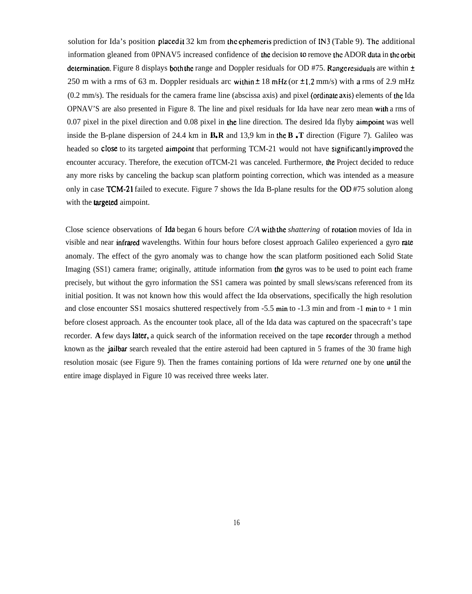solution for Ida's position placed it  $32 \text{ km}$  from the ephemeris prediction of IN3 (Table 9). The additional information gleaned from 0PNAV5 increased confidence of the decision to remove the ADOR data in the orbit determination. Figure 8 displays both the range and Doppler residuals for OD #75. Range residuals are within  $\pm$ 250 m with a rms of 63 m. Doppler residuals arc within  $\pm$  18 mHz (or  $\pm$ 1.2 mm/s) with a rms of 2.9 mHz  $(0.2 \text{ mm/s})$ . The residuals for the camera frame line (abscissa axis) and pixel (ordinate axis) elements of the Ida OPNAV'S are also presented in Figure 8. The line and pixel residuals for Ida have near zero mean with a rms of 0.07 pixel in the pixel direction and 0.08 pixel in the line direction. The desired Ida flyby aimpoint was well inside the B-plane dispersion of 24.4 km in  $\mathbf{B} \cdot \mathbf{R}$  and 13.9 km in the  $\mathbf{B} \cdot \mathbf{T}$  direction (Figure 7). Galileo was headed so close to its targeted aimpoint that performing TCM-21 would not have significantly improved the encounter accuracy. Therefore, the execution ofTCM-21 was canceled. Furthermore, the Project decided to reduce any more risks by canceling the backup scan platform pointing correction, which was intended as a measure only in case TCM-21 failed to execute. Figure 7 shows the Ida B-plane results for the OD #75 solution along with the **targeted** aimpoint.

Close science observations of Ida began 6 hours before *C/A* with the *shattering* of rotation movies of Ida in visible and near infrared wavelengths. Within four hours before closest approach Galileo experienced a gyro rate anomaly. The effect of the gyro anomaly was to change how the scan platform positioned each Solid State Imaging (SS1) camera frame; originally, attitude information from the gyros was to be used to point each frame precisely, but without the gyro information the SS1 camera was pointed by small slews/scans referenced from its initial position. It was not known how this would affect the Ida observations, specifically the high resolution and close encounter SS1 mosaics shuttered respectively from -5.5 min to -1.3 min and from -1 min to + 1 min before closest approach. As the encounter took place, all of the Ida data was captured on the spacecraft's tape recorder. **A** few days later, a quick search of the information received on the tape recorder through a method known as the jailbar search revealed that the entire asteroid had been captured in 5 frames of the 30 frame high resolution mosaic (see Figure 9). Then the frames containing portions of Ida were *returned* one by one until the entire image displayed in Figure 10 was received three weeks later.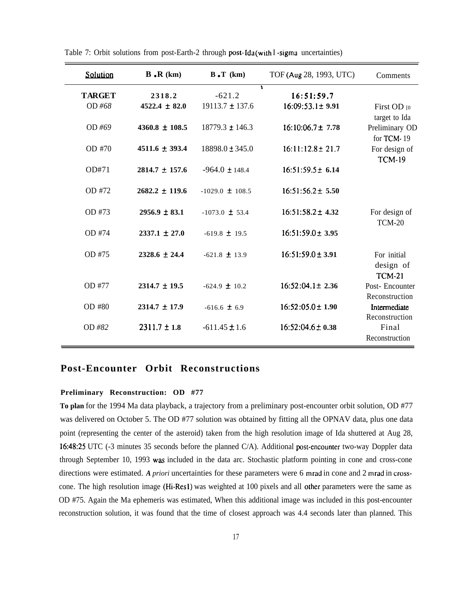| Solution                | $\mathbf{B} \cdot \mathbf{R}$ (km) | $B \cdot T$ (km)                | TOF (Aug 28, 1993, UTC)                  | Comments                                         |
|-------------------------|------------------------------------|---------------------------------|------------------------------------------|--------------------------------------------------|
| <b>TARGET</b><br>OD #68 | 2318.2<br>$4522.4 \pm 82.0$        | $-621.2$<br>$19113.7 \pm 137.6$ | 1<br>16:51:59.7<br>$16:09:53.1 \pm 9.91$ | First OD [0]                                     |
| OD #69                  | $4360.8 \pm 108.5$                 | $18779.3 \pm 146.3$             | $16:10:06.7 \pm 7.78$                    | target to Ida<br>Preliminary OD<br>for TCM-19    |
| OD #70                  | $4511.6 + 393.4$                   | $18898.0 \pm 345.0$             | $16:11:12.8 \pm 21.7$                    | For design of<br><b>TCM-19</b>                   |
| OD#71                   | $2814.7 \pm 157.6$                 | $-964.0 \pm 148.4$              | $16:51:59.5 \pm 6.14$                    |                                                  |
| OD #72                  | $2682.2 \pm 119.6$                 | $-1029.0 \pm 108.5$             | $16:51:56.2 \pm 5.50$                    |                                                  |
| OD #73                  | $2956.9 \pm 83.1$                  | $-1073.0 \pm 53.4$              | $16:51:58.2 \pm 4.32$                    | For design of                                    |
| OD #74                  | $2337.1 + 27.0$                    | $-619.8 \pm 19.5$               | $16:51:59.0 \pm 3.95$                    | $TCM-20$                                         |
| OD #75                  | $2328.6 \pm 24.4$                  | $-621.8 \pm 13.9$               | $16:51:59.0 \pm 3.91$                    | For initial<br>design of<br><b>TCM-21</b>        |
| OD #77                  | $2314.7 \pm 19.5$                  | $-624.9 \pm 10.2$               | $16:52:04.1 \pm 2.36$                    | Post-Encounter                                   |
| OD #80                  | $2314.7 \pm 17.9$                  | $-616.6 \pm 6.9$                | $16:52:05.0 \pm 1.90$                    | Reconstruction<br>Intermediate<br>Reconstruction |
| OD #82                  | $2311.7 \pm 1.8$                   | $-611.45 \pm 1.6$               | $16:52:04.6 \pm 0.38$                    | Final<br>Reconstruction                          |

Table 7: Orbit solutions from post-Earth-2 through post- $\text{Ida}$  (with I -sigmu uncertainties)

# **Post-Encounter Orbit Reconstructions**

# **Preliminary Reconstruction: OD #77**

**To plan** for the 1994 Ma data playback, a trajectory from a preliminary post-encounter orbit solution, OD #77 was delivered on October 5. The OD #77 solution was obtained by fitting all the OPNAV data, plus one data point (representing the center of the asteroid) taken from the high resolution image of Ida shuttered at Aug 28, 16:48:25 UTC (-3 minutes 35 seconds before the planned  $C/A$ ). Additional post-encounter two-way Doppler data through September 10, 1993 was included in the data arc. Stochastic platform pointing in cone and cross-cone directions were estimated. *A priori* uncertainties for these parameters were 6 mrad in cone and 2 mrad in crosscone. The high resolution image (Hi-Res1) was weighted at 100 pixels and all other parameters were the same as OD #75. Again the Ma ephemeris was estimated, When this additional image was included in this post-encounter reconstruction solution, it was found that the time of closest approach was 4.4 seconds later than planned. This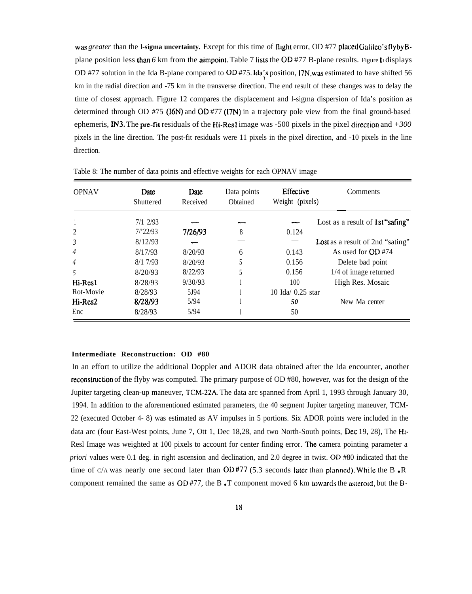**was** greater than the **l-sigma uncertainty.** Except for this time of flight error, OD #77 placed Galileo's flyby Bplane position less than 6 km from the aimpoint. Table 7 lists the OD #77 B-plane results. Figure Indisplays OD #77 solution in the Ida B-plane compared to OD #75. Ida's position, *I7N*, was estimated to have shifted 56 km in the radial direction and -75 km in the transverse direction. The end result of these changes was to delay the time of closest approach. Figure 12 compares the displacement and l-sigma dispersion of Ida's position as determined through OD #75 (16N) and OD #77 (17N) in a trajectory pole view from the final ground-based ephemeris, IN3. The pre-fit residuals of the Hi-Res1 image was -500 pixels in the pixel direction and *+300* pixels in the line direction. The post-fit residuals were 11 pixels in the pixel direction, and -10 pixels in the line direction.

| <b>OPNAV</b>   | Date<br>Shuttered | Date<br>Received | Data points<br>Obtained | Effective<br>Weight (pixels) | Comments                                |
|----------------|-------------------|------------------|-------------------------|------------------------------|-----------------------------------------|
|                | $7/1$ 2/93        |                  |                         |                              | Lost as a result of 1st "safing"        |
| $\overline{2}$ | 7/22/93           | 7/26/93          | 8                       | 0.124                        |                                         |
| 3              | 8/12/93           |                  |                         |                              | <b>Lost</b> as a result of 2nd "sating" |
| $\overline{4}$ | 8/17/93           | 8/20/93          | 6                       | 0.143                        | As used for OD #74                      |
| $\overline{4}$ | 8/17/93           | 8/20/93          |                         | 0.156                        | Delete bad point                        |
| 5              | 8/20/93           | 8/22/93          |                         | 0.156                        | 1/4 of image returned                   |
| Hi-Res1        | 8/28/93           | 9/30/93          |                         | 100                          | High Res. Mosaic                        |
| Rot-Movie      | 8/28/93           | 5.194            |                         | $10$ Ida/ $0.25$ star        |                                         |
| Hi-Res2        | 8/28/93           | 5/94             |                         | 50                           | New Ma center                           |
| Enc            | 8/28/93           | 5/94             |                         | 50                           |                                         |

Table 8: The number of data points and effective weights for each OPNAV image

#### **Intermediate Reconstruction: OD #80**

In an effort to utilize the additional Doppler and ADOR data obtained after the Ida encounter, another reconstmction of the flyby was computed. The primary purpose of OD #80, however, was for the design of the Jupiter targeting clean-up maneuver, TCM-22A. The data arc spanned from April 1, 1993 through January 30, 1994. In addition to the aforementioned estimated parameters, the 40 segment Jupiter targeting maneuver, TCM-22 (executed October 4- 8) was estimated as AV impulses in 5 portions. Six ADOR points were included in the data arc (four East-West points, June 7, Ott 1, Dec 18,28, and two North-South points, Dec 19, 28), The Hi-Resl Image was weighted at 100 pixels to account for center finding error. The camera pointing parameter a *priori* values were 0.1 deg. in right ascension and declination, and 2.0 degree in twist. OD #80 indicated that the time of C/A was nearly one second later than  $OD$  #77 (5.3 seconds later than planned). While the B.R component remained the same as  $OD \# 77$ , the B. T component moved 6 km lowards the asteroid, but the B-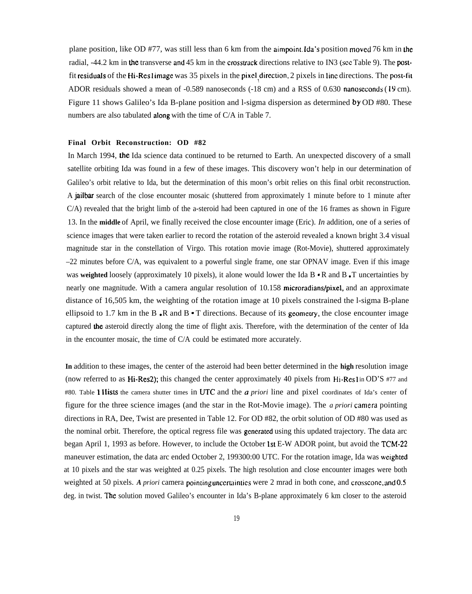plane position, like OD #77, was still less than 6 km from the aimpoint Ida's position moved 76 km in the radial, -44.2 km in the transverse and 45 km in the crosstrack directions relative to IN3 (see Table 9). The postfit residuals of the Hi-Reslimage was 35 pixels in the pixel direction, 2 pixels in line directions. The post-fit ADOR residuals showed a mean of -0.589 nanoseconds (-18 cm) and a RSS of 0.630 nanoseconds (19 cm). Figure 11 shows Galileo's Ida B-plane position and l-sigma dispersion as determined by OD #80. These numbers are also tabulated **along** with the time of C/A in Table 7.

#### **Final Orbit Reconstruction: OD #82**

In March 1994, the Ida science data continued to be returned to Earth. An unexpected discovery of a small satellite orbiting Ida was found in a few of these images. This discovery won't help in our determination of Galileo's orbit relative to Ida, but the determination of this moon's orbit relies on this final orbit reconstruction. A jailbar search of the close encounter mosaic (shuttered from approximately 1 minute before to 1 minute after C/A) revealed that the bright limb of the a-steroid had been captured in one of the 16 frames as shown in Figure 13. In the **middle** of April, we finally received the close encounter image (Eric). *In* addition, one of a series of science images that were taken earlier to record the rotation of the asteroid revealed a known bright 3.4 visual magnitude star in the constellation of Virgo. This rotation movie image (Rot-Movie), shuttered approximately –22 minutes before C/A, was equivalent to a powerful single frame, one star OPNAV image. Even if this image was **weighted** loosely (approximately 10 pixels), it alone would lower the Ida B  $\cdot$  R and B  $\cdot$  T uncertainties by nearly one magnitude. With a camera angular resolution of 10.158 microradians/pixel, and an approximate distance of 16,505 km, the weighting of the rotation image at 10 pixels constrained the l-sigma B-plane ellipsoid to 1.7 km in the B  $\bullet$  R and B  $\bullet$  T directions. Because of its geometry, the close encounter image captured the asteroid directly along the time of flight axis. Therefore, with the determination of the center of Ida in the encounter mosaic, the time of C/A could be estimated more accurately.

**In** addition to these images, the center of the asteroid had been better determined in the **high** resolution image (now referred to as Hi-Res2); this changed the center approximately 40 pixels from Hi-Resl in OD'S #77 and #80. Table 11 lists the camera shutter times in UTC and the a *priori* line and pixel coordinates of Ida's center of figure for the three science images (and the star in the Rot-Movie image). The *a priori* camera pointing directions in RA, Dee, Twist are presented in Table 12. For OD #82, the orbit solution of OD #80 was used as the nominal orbit. Therefore, the optical regress file was generated using this updated trajectory. The data arc began April 1, 1993 as before. However, to include the October 1st E-W ADOR point, but avoid the TCM-22 maneuver estimation, the data arc ended October 2, 199300:00 UTC. For the rotation image, Ida was weighted at 10 pixels and the star was weighted at 0.25 pixels. The high resolution and close encounter images were both weighted at 50 pixels. *A priori* camera pointing uncertainties were 2 mrad in both cone, and crosscone, and 0.5 deg. in twist. The solution moved Galileo's encounter in Ida's B-plane approximately 6 km closer to the asteroid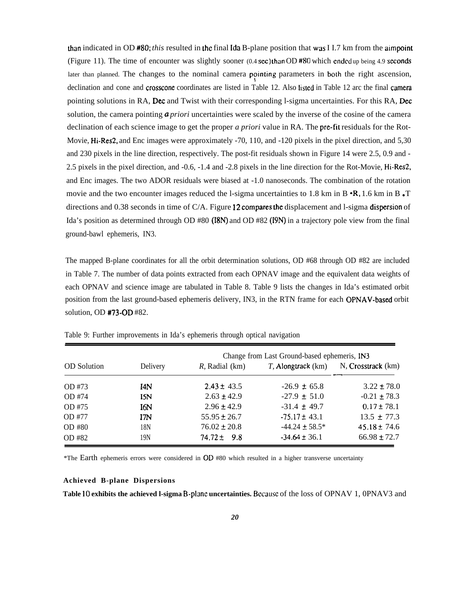than indicated in OD #80; this resulted in the final Ida B-plane position that was I I.7 km from the aimpoint (Figure 11). The time of encounter was slightly sooner  $(0.4 \text{ sec})$  than OD #80 which ended up being 4.9 seconds later than planned. The changes to the nominal camera pointing parameters in both the right ascension, declination and cone and crosscone coordinates are listed in Table 12. Also listed in Table 12 arc the final camera pointing solutions in RA, Dec and Twist with their corresponding l-sigma uncertainties. For this RA, Dec solution, the camera pointing a *priori* uncertainties were scaled by the inverse of the cosine of the camera declination of each science image to get the proper *a priori* value in RA. The pre-fit residuals for the Rot-Movie, Hi-Res2, and Enc images were approximately -70, 110, and -120 pixels in the pixel direction, and 5,30 and 230 pixels in the line direction, respectively. The post-fit residuals shown in Figure 14 were 2.5, 0.9 and - 2.5 pixels in the pixel direction, and -0.6, -1.4 and -2.8 pixels in the line direction for the Rot-Movie, Hi-Res2, and Enc images. The two ADOR residuals were biased at -1.0 nanoseconds. The combination of the rotation movie and the two encounter images reduced the l-sigma uncertainties to 1.8 km in B  $\cdot$ R, 1.6 km in B  $\cdot$ T directions and 0.38 seconds in time of C/A. Figure 12 compares the displacement and l-sigma dispersion of Ida's position as determined through OD #80 (18N) and OD #82 (19N) in a trajectory pole view from the final ground-bawl ephemeris, IN3.

The mapped B-plane coordinates for all the orbit determination solutions, OD #68 through OD #82 are included in Table 7. The number of data points extracted from each OPNAV image and the equivalent data weights of each OPNAV and science image are tabulated in Table 8. Table 9 lists the changes in Ida's estimated orbit position from the last ground-based ephemeris delivery, IN3, in the RTN frame for each OPNAV-based orbit solution, OD #73-OD #82.

|                    |                 | Change from Last Ground-based ephemeris, IN3 |                       |                    |  |  |  |
|--------------------|-----------------|----------------------------------------------|-----------------------|--------------------|--|--|--|
| <b>OD</b> Solution | Delivery        | $R$ , Radial (km)                            | $T$ , Alongtrack (km) | N, Crosstrack (km) |  |  |  |
| OD #73             | 14N             | $2.43 \pm 43.5$                              | $-26.9 \pm 65.8$      | $3.22 \pm 78.0$    |  |  |  |
| OD #74             | <b>ISN</b>      | $2.63 \pm 42.9$                              | $-27.9 \pm 51.0$      | $-0.21 \pm 78.3$   |  |  |  |
| OD #75             | I6N             | $2.96 \pm 42.9$                              | $-31.4 \pm 49.7$      | $0.17 \pm 78.1$    |  |  |  |
| OD #77             | ITN.            | $55.95 \pm 26.7$                             | $-75.17 \pm 43.1$     | $13.5 \pm 77.3$    |  |  |  |
| OD #80             | 18 <sub>N</sub> | $76.02 \pm 20.8$                             | $-44.24 \pm 58.5^*$   | $45.18 \pm 74.6$   |  |  |  |
| OD #82             | 19 <sub>N</sub> | $74.72 \pm 9.8$                              | $-34.64 \pm 36.1$     | $66.98 \pm 72.7$   |  |  |  |

Table 9: Further improvements in Ida's ephemeris through optical navigation

\*The Earth ephemeris errors were considered in OD #80 which resulted in a higher transverse uncertainty

#### **Achieved B-plane Dispersions**

Table 10 exhibits the achieved 1-sigma B-planc uncertainties. Bccause of the loss of OPNAV 1, 0PNAV3 and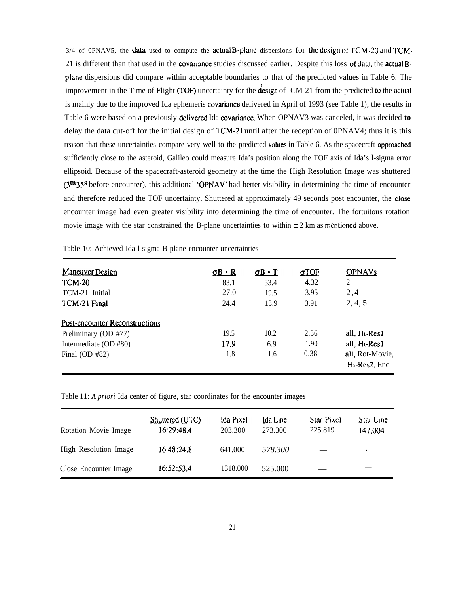$3/4$  of 0PNAV5, the **data** used to compute the actual **B-plane** dispersions for the design of TCM-20 and TCM-21 is different than that used in the covariance studies discussed earlier. Despite this loss of data, the acluat Bplane dispersions did compare within acceptable boundaries to that of the predicted values in Table 6. The improvement in the Time of Flight (TOF) uncertainty for the design of TCM-21 from the predicted to the actual is mainly due to the improved Ida ephemeris covariance delivered in April of 1993 (see Table 1); the results in Table 6 were based on a previously **delivered** Ida covariance. When OPNAV3 was canceled, it was decided **to** delay the data cut-off for the initial design of TCM-21 until after the reception of 0PNAV4; thus it is this reason that these uncertainties compare very well to the predicted values in Table 6. As the spacecraft approached sufficiently close to the asteroid, Galileo could measure Ida's position along the TOF axis of Ida's l-sigma error ellipsoid. Because of the spacecraft-asteroid geometry at the time the High Resolution Image was shuttered  $(3<sup>m</sup>35<sup>s</sup>)$  before encounter), this additional 'OPNAV' had better visibility in determining the time of encounter and therefore reduced the TOF uncertainty. Shuttered at approximately 49 seconds post encounter, the close encounter image had even greater visibility into determining the time of encounter. The fortuitous rotation movie image with the star constrained the B-plane uncertainties to within  $\pm 2$  km as mentioned above.

| <b>Maneuver Design</b>         | $\Omega$ $\Omega$ $\cdot$ R | $\mathbf{u} \cdot \mathbf{f}$ | <u>aTOF</u> | <b>OPNAVs</b>   |
|--------------------------------|-----------------------------|-------------------------------|-------------|-----------------|
| <b>TCM-20</b>                  | 83.1                        | 53.4                          | 4.32        | 2               |
| TCM-21 Initial                 | 27.0                        | 19.5                          | 3.95        | 2,4             |
| TCM-21 Final                   | 24.4                        | 13.9                          | 3.91        | 2, 4, 5         |
| Post-encounter Reconstructions |                             |                               |             |                 |
| Preliminary (OD #77)           | 19.5                        | 10.2                          | 2.36        | all, Hi-Res1    |
| Intermediate (OD #80)          | 17.9                        | 6.9                           | 1.90        | all, Hi-Res1    |
| Final $OD #82$                 | 1.8                         | 1.6                           | 0.38        | all, Rot-Movie, |
|                                |                             |                               |             | Hi-Res2, Enc    |

Table 10: Achieved Ida l-sigma B-plane encounter uncertainties

Table 11: *A priori* Ida center of figure, star coordinates for the encounter images

| Rotation Movie Image  | Shuttered (UTC)<br>16:29:48.4 | <b>Ida Pixel</b><br>203.300 | <b>Ida Line</b><br>273.300 | Star Pixel<br>225.819 | <b>Star Line</b><br>147,004 |
|-----------------------|-------------------------------|-----------------------------|----------------------------|-----------------------|-----------------------------|
| High Resolution Image | 16:48:24.8                    | 641.000                     | 578.300                    |                       | $\bullet$                   |
| Close Encounter Image | 16:52:53.4                    | 1318.000                    | 525,000                    |                       |                             |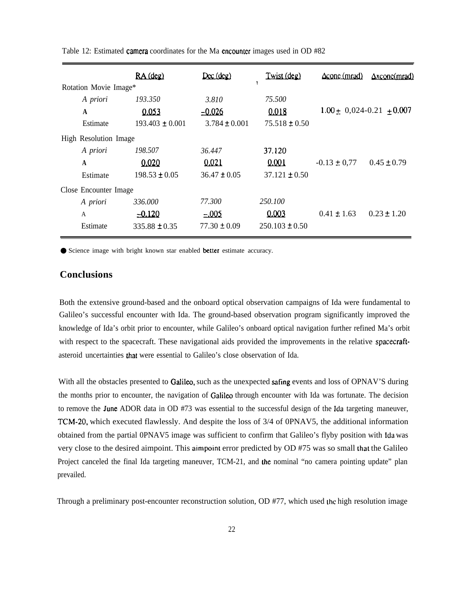|                       |              | RA (deg)            | $D\infty$ (deg)   | Twist (deg)        | $\Delta$ conc $(mrad)$          | $\Delta x$ conc $(mrad)$ |
|-----------------------|--------------|---------------------|-------------------|--------------------|---------------------------------|--------------------------|
| Rotation Movie Image* |              |                     |                   |                    |                                 |                          |
|                       | A priori     | 193.350             | 3.810             | 75.500             |                                 |                          |
|                       | A            | 0.053               | $-0.026$          | 0.018              | $1.00 \pm 0.024 - 0.21 + 0.007$ |                          |
|                       | Estimate     | $193.403 \pm 0.001$ | $3.784 \pm 0.001$ | $75.518 \pm 0.50$  |                                 |                          |
| High Resolution Image |              |                     |                   |                    |                                 |                          |
|                       | A priori     | 198.507             | 36.447            | 37.120             |                                 |                          |
|                       | A            | 0.020               | 0.021             | 0.001              | $-0.13 \pm 0.77$                | $0.45 \pm 0.79$          |
|                       | Estimate     | $198.53 \pm 0.05$   | $36.47 \pm 0.05$  | $37.121 \pm 0.50$  |                                 |                          |
| Close Encounter Image |              |                     |                   |                    |                                 |                          |
|                       | A priori     | 336.000             | 77.300            | 250.100            |                                 |                          |
|                       | $\mathsf{A}$ | $-0.120$            | $-005$            | 0.003              | $0.41 \pm 1.63$                 | $0.23 \pm 1.20$          |
|                       | Estimate     | $335.88 \pm 0.35$   | $77.30 \pm 0.09$  | $250.103 \pm 0.50$ |                                 |                          |

Table 12: Estimated camera coordinates for the Ma cncountcr images used in OD #82

● Science image with bright known star enabled better estimate accuracy.

# **Conclusions**

Both the extensive ground-based and the onboard optical observation campaigns of Ida were fundamental to Galileo's successful encounter with Ida. The ground-based observation program significantly improved the knowledge of Ida's orbit prior to encounter, while Galileo's onboard optical navigation further refined Ma's orbit with respect to the spacecraft. These navigational aids provided the improvements in the relative spacecraftasteroid uncertainties that were essential to Galileo's close observation of Ida.

With all the obstacles presented to Galileo, such as the unexpected safing events and loss of OPNAV'S during the months prior to encounter, the navigation of Galileo through encounter with Ida was fortunate. The decision to remove the June ADOR data in OD  $#73$  was essential to the successful design of the Ida targeting maneuver, TCM-20, which executed flawlessly. And despite the loss of 3/4 of 0PNAV5, the additional information obtained from the partial OPNAV5 image was sufficient to confirm that Galileo's flyby position with Ida was very close to the desired aimpoint. This aimpoint error predicted by OD #75 was so small that the Galileo Project canceled the final Ida targeting maneuver, TCM-21, and the nominal "no camera pointing update" plan prevailed.

Through a preliminary post-encounter reconstruction solution, OD #77, which used the high resolution image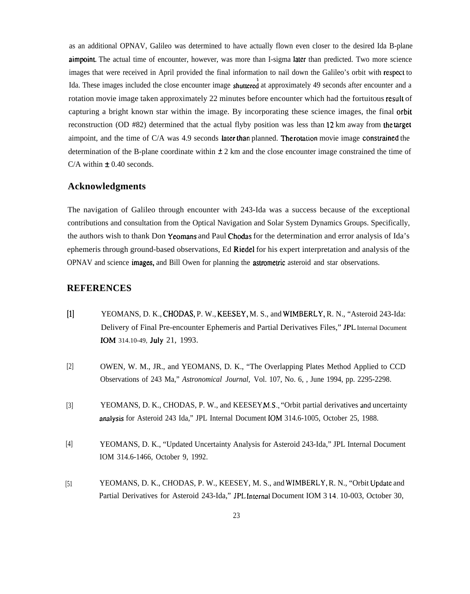as an additional OPNAV, Galileo was determined to have actually flown even closer to the desired Ida B-plane aimpoint. The actual time of encounter, however, was more than I-sigma later than predicted. Two more science images that were received in April provided the final information to nail down the Galileo's orbit with respccl to Ida. These images included the close encounter image shuttered at approximately 49 seconds after encounter and a rotation movie image taken approximately 22 minutes before encounter which had the fortuitous result of capturing a bright known star within the image. By incorporating these science images, the final orbit reconstruction (OD #82) determined that the actual flyby position was less than 12 km away from the target aimpoint, and the time of  $C/A$  was 4.9 seconds later than planned. The rotation movie image constrained the determination of the B-plane coordinate within  $\pm 2$  km and the close encounter image constrained the time of C/A within  $\pm$  0.40 seconds.

# **Acknowledgments**

The navigation of Galileo through encounter with 243-Ida was a success because of the exceptional contributions and consultation from the Optical Navigation and Solar System Dynamics Groups. Specifically, the authors wish to thank Don Yeomans and Paul Chodas for the determination and error analysis of Ida's ephemeris through ground-based observations, Ed Riedel for his expert interpretation and analysis of the OPNAV and science images, and Bill Owen for planning the astrometric asteroid and star observations.

# **REFERENCES**

- **[1]** YEOMANS, D. K., CHODAS, P. W., KEESEY, M. S., and WIMBERLY, R. N., "Asteroid 243-Ida: Delivery of Final Pre-encounter Ephemeris and Partial Derivatives Files," JPL Internal Document IOM 314.10-49, **July** 21, 1993.
- [2] OWEN, W. M., JR., and YEOMANS, D. K., "The Overlapping Plates Method Applied to CCD Observations of 243 Ma," *Astronomical Journal,* Vol. 107, No. 6, , June 1994, pp. 2295-2298.
- [3] YEOMANS, D. K., CHODAS, P. W., and KEESEY, M.S., "Orbit partial derivatives and uncertainty amlysis for Asteroid 243 Ida," JPL Internal Document IOM 314.6-1005, October 25, 1988.
- [4] YEOMANS, D. K., "Updated Uncertainty Analysis for Asteroid 243-Ida," JPL Internal Document IOM 314.6-1466, October 9, 1992.
- [51 YEOMANS, D. K., CHODAS, P. W., KEESEY, M. S., and WIMBERLY, R. N., "Orbit Update and Partial Derivatives for Asteroid 243-Ida," JPL Internal Document IOM 3 14. 10-003, October 30,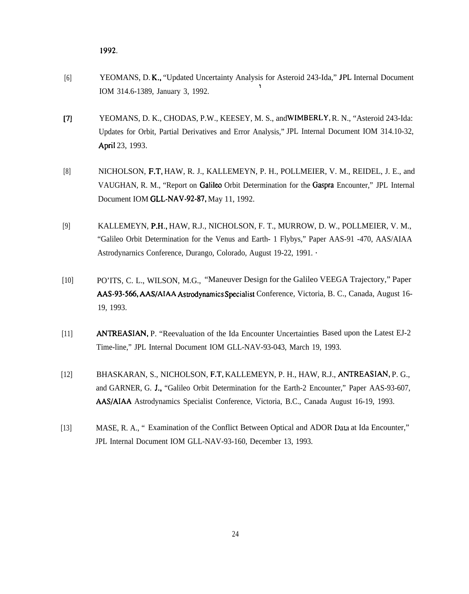1992.

- [6] YEOMANS, D. K,, "Updated Uncertainty Analysis for Asteroid 243-Ida," JPL Internal Document \ IOM 314.6-1389, January 3, 1992.
- $[7]$ YEOMANS, D. K., CHODAS, P.W., KEESEY, M. S., and WIMBERLY, R. N., "Asteroid 243-Ida: Updates for Orbit, Partial Derivatives and Error Analysis," JPL Internal Document IOM 314.10-32, April 23, 1993.
- [8] NICHOLSON, F.T, HAW, R. J., KALLEMEYN, P. H., POLLMEIER, V. M., REIDEL, J. E., and VAUGHAN, R. M., "Report on Galileo Orbit Determination for the Gaspra Encounter," JPL Internal Document IOM GLL-NAV-92-87, May 11, 1992.
- [9] KALLEMEYN, P.H,, HAW, R.J., NICHOLSON, F. T., MURROW, D. W., POLLMEIER, V. M., "Galileo Orbit Determination for the Venus and Earth- 1 Flybys," Paper AAS-91 -470, AAS/AIAA Astrodynarnics Conference, Durango, Colorado, August 19-22, 1991. ~
- [10] PO'ITS, C. L., WILSON, M.G., "Maneuver Design for the Galileo VEEGA Trajectory," Paper AAS-93-566, AAS/AIAA Astrodynamics Specialist Conference, Victoria, B. C., Canada, August 16-19, 1993.
- [11] ANTREASIAN, P. "Reevaluation of the Ida Encounter Uncertainties Based upon the Latest EJ-2 Time-line," JPL Internal Document IOM GLL-NAV-93-043, March 19, 1993.
- [12] BHASKARAN, S., NICHOLSON, F.T, KALLEMEYN, P. H., HAW, R.J., ANTREASIAN, P. G., and GARNER, G. J,, "Galileo Orbit Determination for the Earth-2 Encounter," Paper AAS-93-607, AAS/AIAA Astrodynamics Specialist Conference, Victoria, B.C., Canada August 16-19, 1993.
- [13] MASE, R. A., " Examination of the Conflict Between Optical and ADOR Data at Ida Encounter," JPL Internal Document IOM GLL-NAV-93-160, December 13, 1993.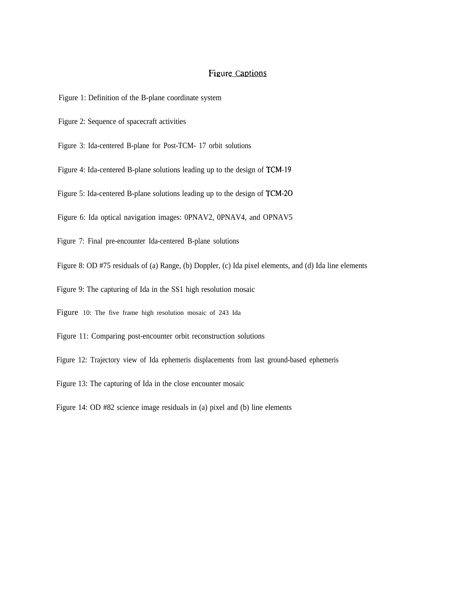# Figure Captions

- Figure 1: Definition of the B-plane coordinate system
- Figure 2: Sequence of spacecraft activities
- Figure 3: Ida-centered B-plane for Post-TCM- 17 orbit solutions
- Figure 4: Ida-centered B-plane solutions leading up to the design of TCM-19
- Figure 5: Ida-centered B-plane solutions leading up to the design of TCM-20
- Figure 6: Ida optical navigation images: 0PNAV2, 0PNAV4, and OPNAV5
- Figure 7: Final pre-encounter Ida-centered B-plane solutions
- Figure 8: OD #75 residuals of (a) Range, (b) Doppler, (c) Ida pixel elements, and (d) Ida line elements
- Figure 9: The capturing of Ida in the SS1 high resolution mosaic
- Figure 10: The five frame high resolution mosaic of 243 Ida
- Figure 11: Comparing post-encounter orbit reconstruction solutions
- Figure 12: Trajectory view of Ida ephemeris displacements from last ground-based ephemeris
- Figure 13: The capturing of Ida in the close encounter mosaic
- Figure 14: OD #82 science image residuals in (a) pixel and (b) line elements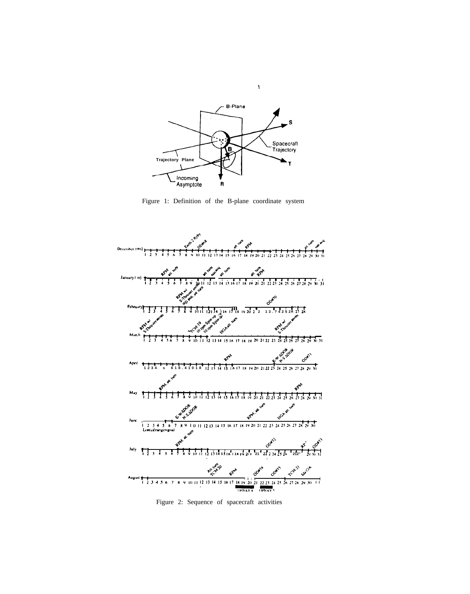

 $\bar{\mathbf{Y}}$ 

Figure 1: Definition of the B-plane coordinate system



Figure 2: Sequence of spacecraft activities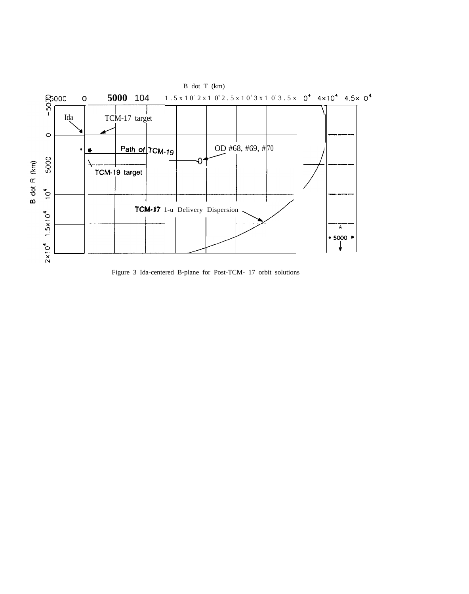

Figure 3 Ida-centered B-plane for Post-TCM- 17 orbit solutions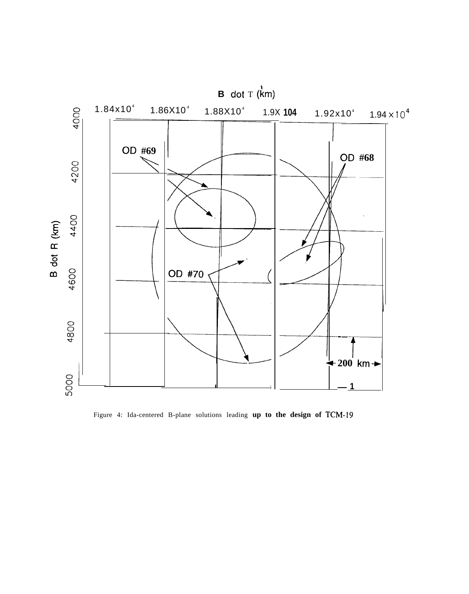

Figure 4: Ida-centered B-plane solutions leading **up to the design of TCM-19**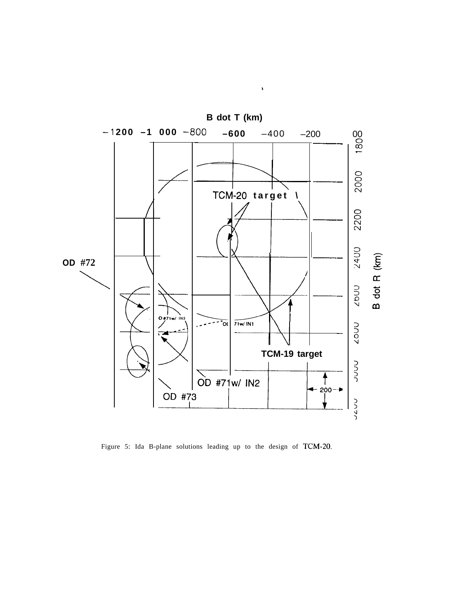

**a**

Figure 5: Ida B-plane solutions leading up to the design of TCM-20.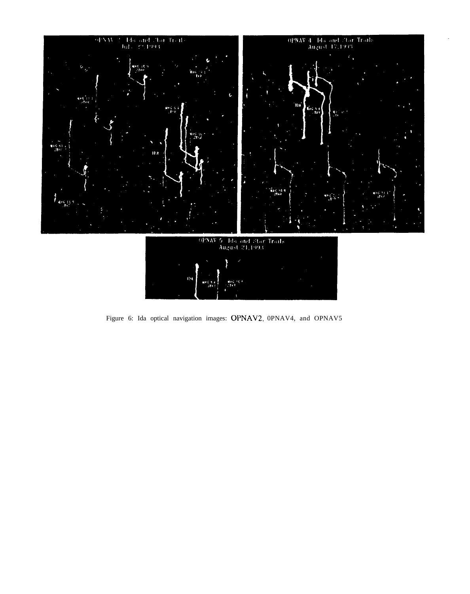

Figure 6: Ida optical navigation images: OPNAV2, 0PNAV4, and OPNAV5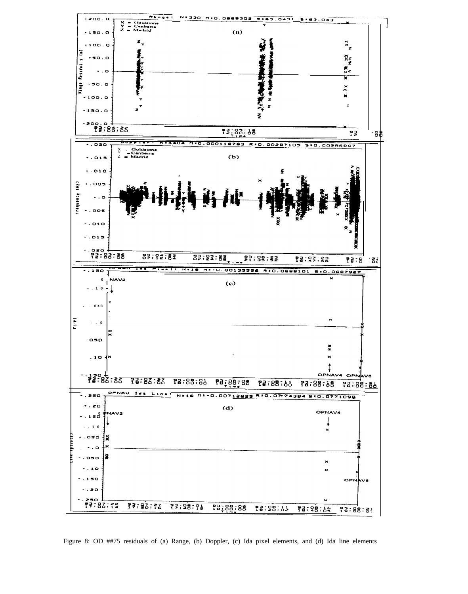

Figure 8: OD ##75 residuals of (a) Range, (b) Doppler, (c) Ida pixel elements, and (d) Ida line elements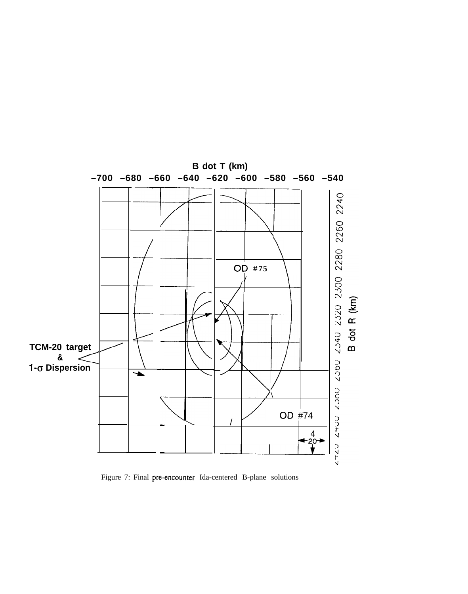

Figure 7: Final pre-encounter Ida-centered B-plane solutions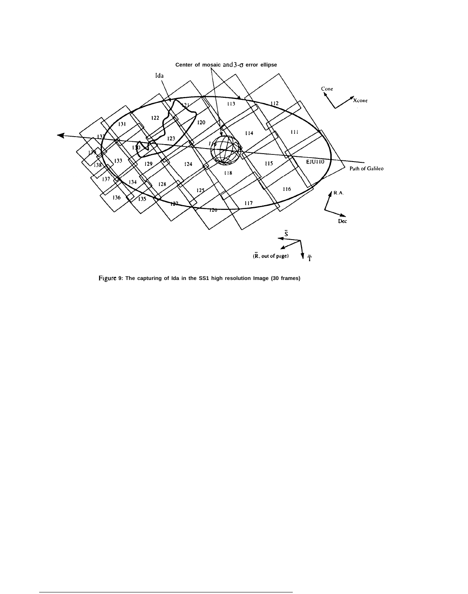

**Figure 9: The capturing of Ida in the SS1 high resolution Image (30 frames)**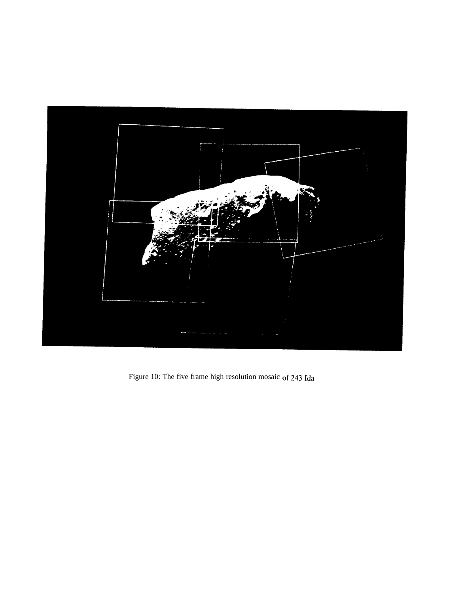

Figure 10: The five frame high resolution mosaic of 243 Ida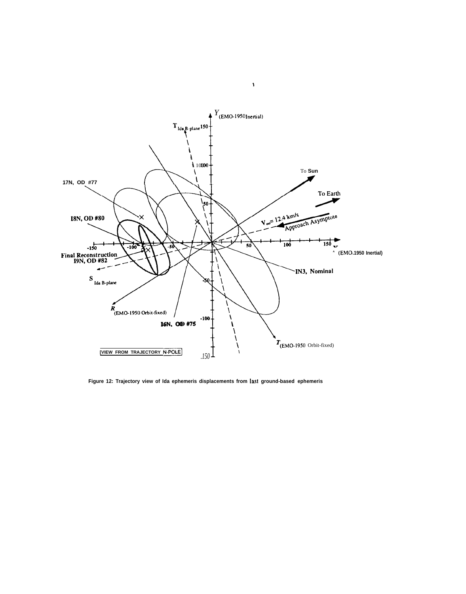

 $\bar{\mathbf{v}}$ 

**Figure 12: Trajectory view of Ida ephemeris displacements from last ground-based ephemeris**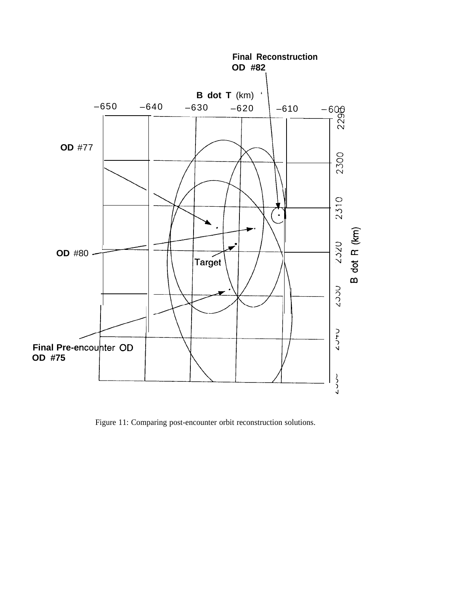

Figure 11: Comparing post-encounter orbit reconstruction solutions.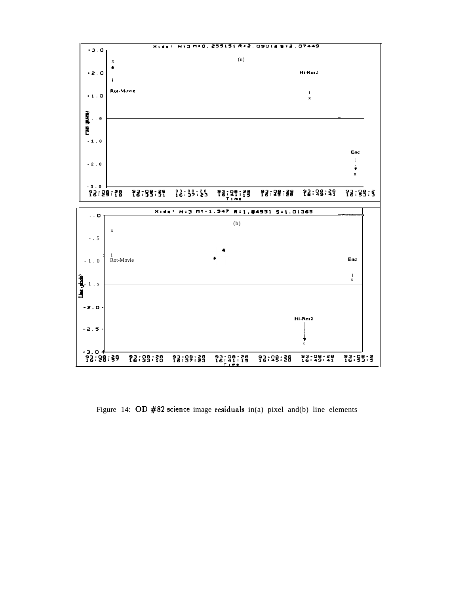

Figure 14: OD  $#82$  science image residuals in(a) pixel and(b) line elements